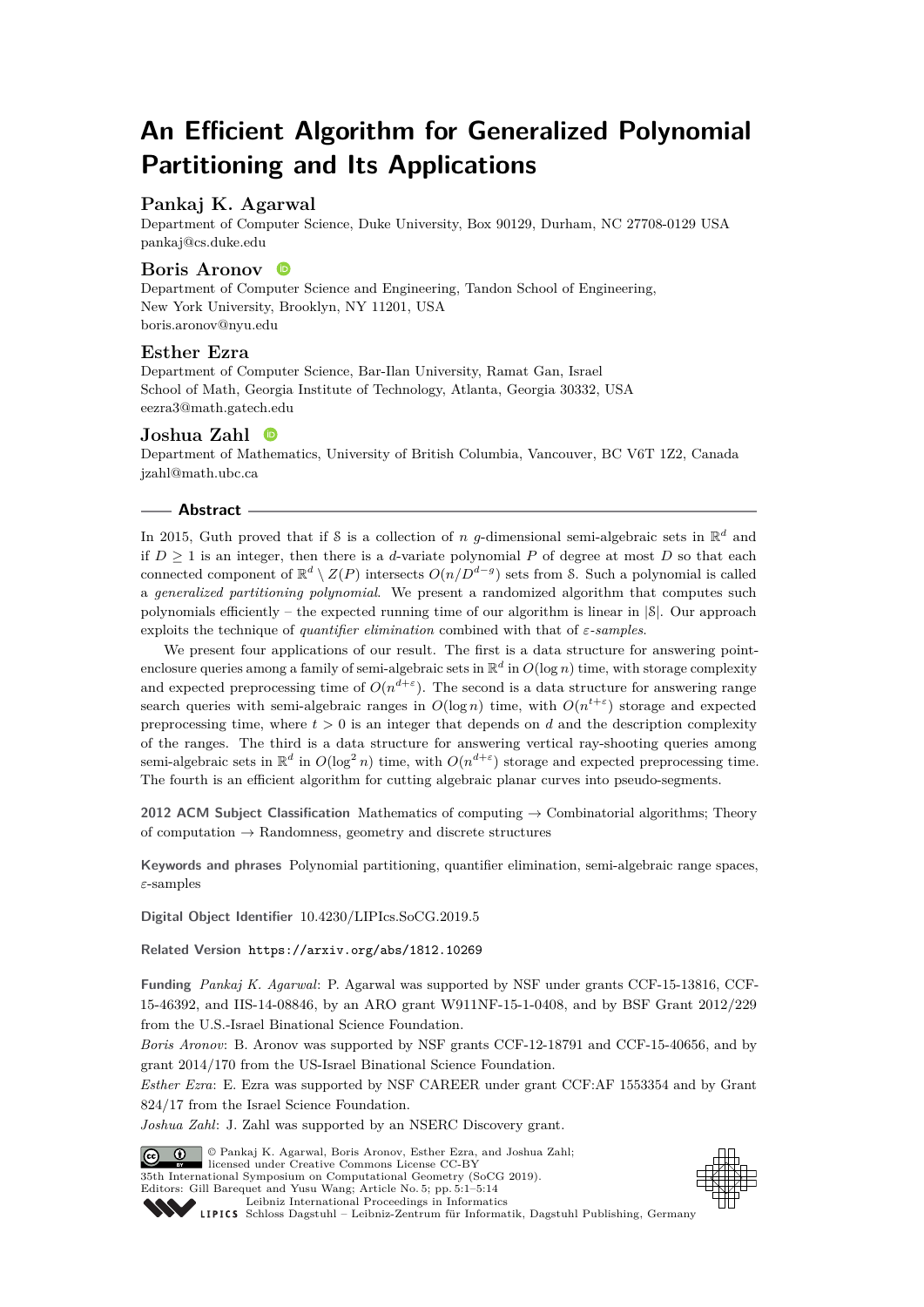# **An Efficient Algorithm for Generalized Polynomial Partitioning and Its Applications**

# **Pankaj K. Agarwal**

Department of Computer Science, Duke University, Box 90129, Durham, NC 27708-0129 USA [pankaj@cs.duke.edu](mailto:pankaj@cs.duke.edu)

## **Boris Aronov**

Department of Computer Science and Engineering, Tandon School of Engineering, New York University, Brooklyn, NY 11201, USA [boris.aronov@nyu.edu](mailto:boris.aronov@nyu.edu)

## **Esther Ezra**

Department of Computer Science, Bar-Ilan University, Ramat Gan, Israel School of Math, Georgia Institute of Technology, Atlanta, Georgia 30332, USA [eezra3@math.gatech.edu](mailto:eezra3@math.gatech.edu)

# **Joshua Zahl**

Department of Mathematics, University of British Columbia, Vancouver, BC V6T 1Z2, Canada [jzahl@math.ubc.ca](mailto:jzahl@math.ubc.ca)

#### **Abstract**

In 2015, Guth proved that if S is a collection of *n g*-dimensional semi-algebraic sets in  $\mathbb{R}^d$  and if  $D \geq 1$  is an integer, then there is a *d*-variate polynomial P of degree at most D so that each connected component of  $\mathbb{R}^d \setminus Z(P)$  intersects  $O(n/D^{d-g})$  sets from S. Such a polynomial is called a *generalized partitioning polynomial*. We present a randomized algorithm that computes such polynomials efficiently – the expected running time of our algorithm is linear in  $|\mathcal{S}|$ . Our approach exploits the technique of *quantifier elimination* combined with that of *ε-samples*.

We present four applications of our result. The first is a data structure for answering pointenclosure queries among a family of semi-algebraic sets in  $\mathbb{R}^d$  in  $O(\log n)$  time, with storage complexity and expected preprocessing time of  $O(n^{d+\varepsilon})$ . The second is a data structure for answering range search queries with semi-algebraic ranges in  $O(\log n)$  time, with  $O(n^{t+\varepsilon})$  storage and expected preprocessing time, where  $t > 0$  is an integer that depends on  $d$  and the description complexity of the ranges. The third is a data structure for answering vertical ray-shooting queries among semi-algebraic sets in  $\mathbb{R}^d$  in  $O(\log^2 n)$  time, with  $O(n^{d+\varepsilon})$  storage and expected preprocessing time. The fourth is an efficient algorithm for cutting algebraic planar curves into pseudo-segments.

**2012 ACM Subject Classification** Mathematics of computing → Combinatorial algorithms; Theory of computation  $\rightarrow$  Randomness, geometry and discrete structures

**Keywords and phrases** Polynomial partitioning, quantifier elimination, semi-algebraic range spaces, *ε*-samples

**Digital Object Identifier** [10.4230/LIPIcs.SoCG.2019.5](https://doi.org/10.4230/LIPIcs.SoCG.2019.5)

**Related Version** <https://arxiv.org/abs/1812.10269>

**Funding** *Pankaj K. Agarwal*: P. Agarwal was supported by NSF under grants CCF-15-13816, CCF-15-46392, and IIS-14-08846, by an ARO grant W911NF-15-1-0408, and by BSF Grant 2012/229 from the U.S.-Israel Binational Science Foundation.

*Boris Aronov*: B. Aronov was supported by NSF grants CCF-12-18791 and CCF-15-40656, and by grant 2014/170 from the US-Israel Binational Science Foundation.

*Esther Ezra*: E. Ezra was supported by NSF CAREER under grant CCF:AF 1553354 and by Grant 824/17 from the Israel Science Foundation.

*Joshua Zahl*: J. Zahl was supported by an NSERC Discovery grant.





[Schloss Dagstuhl – Leibniz-Zentrum für Informatik, Dagstuhl Publishing, Germany](https://www.dagstuhl.de)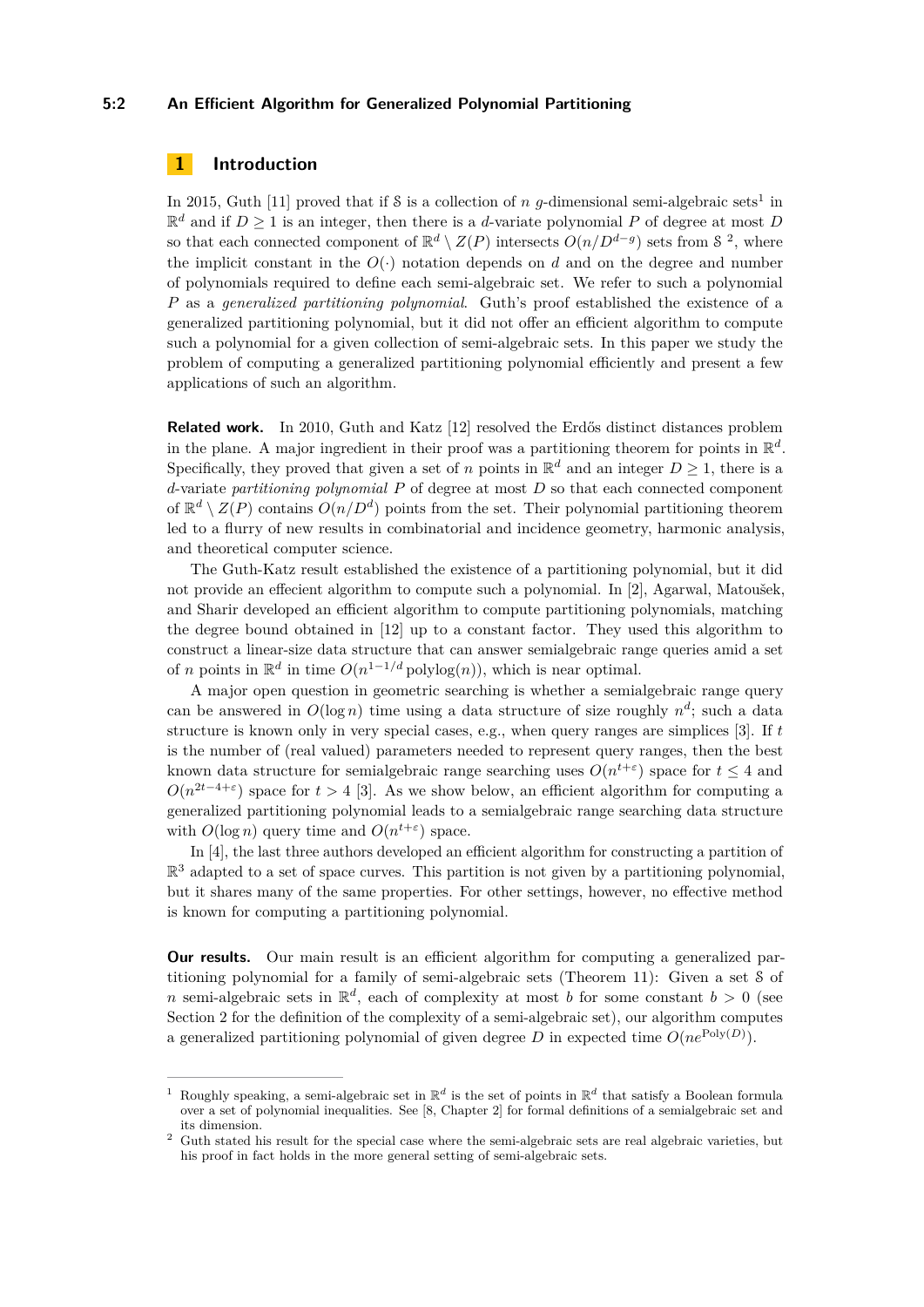#### **5:2 An Efficient Algorithm for Generalized Polynomial Partitioning**

# **1 Introduction**

In 2015, Guth [\[11\]](#page-13-1) proved that if  $S$  is a collection of *n g*-dimensional semi-algebraic sets<sup>[1](#page-1-0)</sup> in  $\mathbb{R}^d$  and if  $D \geq 1$  is an integer, then there is a *d*-variate polynomial P of degree at most D so that each connected component of  $\mathbb{R}^d \setminus Z(P)$  intersects  $O(n/D^{d-g})$  sets from  $\mathcal{S}^2$  $\mathcal{S}^2$ , where the implicit constant in the  $O(\cdot)$  notation depends on *d* and on the degree and number of polynomials required to define each semi-algebraic set. We refer to such a polynomial *P* as a *generalized partitioning polynomial*. Guth's proof established the existence of a generalized partitioning polynomial, but it did not offer an efficient algorithm to compute such a polynomial for a given collection of semi-algebraic sets. In this paper we study the problem of computing a generalized partitioning polynomial efficiently and present a few applications of such an algorithm.

**Related work.** In 2010, Guth and Katz [\[12\]](#page-13-2) resolved the Erdős distinct distances problem in the plane. A major ingredient in their proof was a partitioning theorem for points in  $\mathbb{R}^d$ . Specifically, they proved that given a set of *n* points in  $\mathbb{R}^d$  and an integer  $D \geq 1$ , there is a *d*-variate *partitioning polynomial P* of degree at most *D* so that each connected component of  $\mathbb{R}^d \setminus Z(P)$  contains  $O(n/D^d)$  points from the set. Their polynomial partitioning theorem led to a flurry of new results in combinatorial and incidence geometry, harmonic analysis, and theoretical computer science.

The Guth-Katz result established the existence of a partitioning polynomial, but it did not provide an effecient algorithm to compute such a polynomial. In [\[2\]](#page-12-0), Agarwal, Matoušek, and Sharir developed an efficient algorithm to compute partitioning polynomials, matching the degree bound obtained in [\[12\]](#page-13-2) up to a constant factor. They used this algorithm to construct a linear-size data structure that can answer semialgebraic range queries amid a set of *n* points in  $\mathbb{R}^d$  in time  $O(n^{1-1/d} \text{polylog}(n))$ , which is near optimal.

A major open question in geometric searching is whether a semialgebraic range query can be answered in  $O(\log n)$  time using a data structure of size roughly  $n^d$ ; such a data structure is known only in very special cases, e.g., when query ranges are simplices [\[3\]](#page-12-1). If *t* is the number of (real valued) parameters needed to represent query ranges, then the best known data structure for semialgebraic range searching uses  $O(n^{t+\epsilon})$  space for  $t \leq 4$  and  $O(n^{2t-4+\epsilon})$  space for  $t > 4$  [\[3\]](#page-12-1). As we show below, an efficient algorithm for computing a generalized partitioning polynomial leads to a semialgebraic range searching data structure with  $O(\log n)$  query time and  $O(n^{t+\epsilon})$  space.

In [\[4\]](#page-12-2), the last three authors developed an efficient algorithm for constructing a partition of  $\mathbb{R}^3$  adapted to a set of space curves. This partition is not given by a partitioning polynomial, but it shares many of the same properties. For other settings, however, no effective method is known for computing a partitioning polynomial.

**Our results.** Our main result is an efficient algorithm for computing a generalized partitioning polynomial for a family of semi-algebraic sets (Theorem [11\)](#page-8-0): Given a set S of *n* semi-algebraic sets in  $\mathbb{R}^d$ , each of complexity at most *b* for some constant  $b > 0$  (see Section [2](#page-2-0) for the definition of the complexity of a semi-algebraic set), our algorithm computes a generalized partitioning polynomial of given degree *D* in expected time  $O(ne^{\text{Poly}(D)})$ .

<span id="page-1-0"></span><sup>&</sup>lt;sup>1</sup> Roughly speaking, a semi-algebraic set in  $\mathbb{R}^d$  is the set of points in  $\mathbb{R}^d$  that satisfy a Boolean formula over a set of polynomial inequalities. See [\[8,](#page-13-3) Chapter 2] for formal definitions of a semialgebraic set and its dimension.

<span id="page-1-1"></span><sup>&</sup>lt;sup>2</sup> Guth stated his result for the special case where the semi-algebraic sets are real algebraic varieties, but his proof in fact holds in the more general setting of semi-algebraic sets.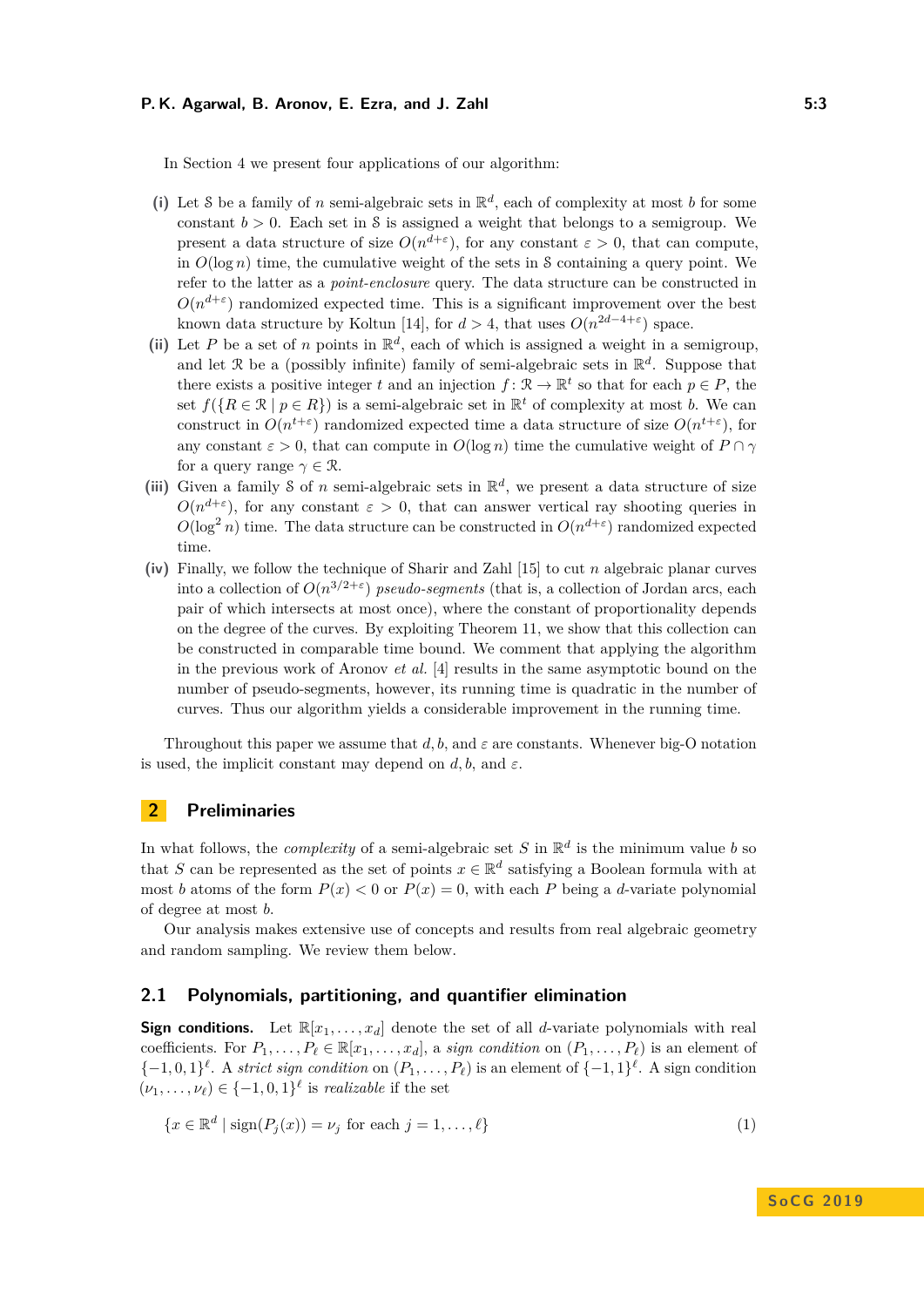## **P. K. Agarwal, B. Aronov, E. Ezra, and J. Zahl 5:3**

In Section [4](#page-8-1) we present four applications of our algorithm:

- (i) Let S be a family of *n* semi-algebraic sets in  $\mathbb{R}^d$ , each of complexity at most *b* for some constant  $b > 0$ . Each set in S is assigned a weight that belongs to a semigroup. We present a data structure of size  $O(n^{d+\epsilon})$ , for any constant  $\varepsilon > 0$ , that can compute, in  $O(\log n)$  time, the cumulative weight of the sets in S containing a query point. We refer to the latter as a *point-enclosure* query. The data structure can be constructed in  $O(n^{d+\epsilon})$  randomized expected time. This is a significant improvement over the best known data structure by Koltun [\[14\]](#page-13-4), for  $d > 4$ , that uses  $O(n^{2d-4+\epsilon})$  space.
- (ii) Let *P* be a set of *n* points in  $\mathbb{R}^d$ , each of which is assigned a weight in a semigroup, and let  $\mathcal{R}$  be a (possibly infinite) family of semi-algebraic sets in  $\mathbb{R}^d$ . Suppose that there exists a positive integer *t* and an injection  $f: \mathbb{R} \to \mathbb{R}^t$  so that for each  $p \in P$ , the set  $f(\lbrace R \in \mathcal{R} \mid p \in R \rbrace)$  is a semi-algebraic set in  $\mathbb{R}^t$  of complexity at most *b*. We can construct in  $O(n^{t+\epsilon})$  randomized expected time a data structure of size  $O(n^{t+\epsilon})$ , for any constant  $\varepsilon > 0$ , that can compute in  $O(\log n)$  time the cumulative weight of  $P \cap \gamma$ for a query range  $\gamma \in \mathcal{R}$ .
- (iii) Given a family S of *n* semi-algebraic sets in  $\mathbb{R}^d$ , we present a data structure of size  $O(n^{d+\epsilon})$ , for any constant  $\epsilon > 0$ , that can answer vertical ray shooting queries in  $O(\log^2 n)$  time. The data structure can be constructed in  $O(n^{d+\epsilon})$  randomized expected time.
- **(iv)** Finally, we follow the technique of Sharir and Zahl [\[15\]](#page-13-5) to cut *n* algebraic planar curves into a collection of  $O(n^{3/2+\epsilon})$  *pseudo-segments* (that is, a collection of Jordan arcs, each pair of which intersects at most once), where the constant of proportionality depends on the degree of the curves. By exploiting Theorem [11,](#page-8-0) we show that this collection can be constructed in comparable time bound. We comment that applying the algorithm in the previous work of Aronov *et al.* [\[4\]](#page-12-2) results in the same asymptotic bound on the number of pseudo-segments, however, its running time is quadratic in the number of curves. Thus our algorithm yields a considerable improvement in the running time.

Throughout this paper we assume that  $d, b$ , and  $\varepsilon$  are constants. Whenever big-O notation is used, the implicit constant may depend on  $d, b$ , and  $\varepsilon$ .

# <span id="page-2-0"></span>**2 Preliminaries**

In what follows, the *complexity* of a semi-algebraic set *S* in  $\mathbb{R}^d$  is the minimum value *b* so that *S* can be represented as the set of points  $x \in \mathbb{R}^d$  satisfying a Boolean formula with at most *b* atoms of the form  $P(x) < 0$  or  $P(x) = 0$ , with each *P* being a *d*-variate polynomial of degree at most *b*.

Our analysis makes extensive use of concepts and results from real algebraic geometry and random sampling. We review them below.

## **2.1 Polynomials, partitioning, and quantifier elimination**

**Sign conditions.** Let  $\mathbb{R}[x_1, \ldots, x_d]$  denote the set of all *d*-variate polynomials with real coefficients. For  $P_1, \ldots, P_\ell \in \mathbb{R}[x_1, \ldots, x_d]$ , a *sign condition* on  $(P_1, \ldots, P_\ell)$  is an element of  $\{-1,0,1\}^{\ell}$ . A *strict sign condition* on  $(P_1,\ldots,P_{\ell})$  is an element of  $\{-1,1\}^{\ell}$ . A sign condition  $(\nu_1, \ldots, \nu_\ell) \in \{-1, 0, 1\}^\ell$  is *realizable* if the set

<span id="page-2-1"></span>
$$
\{x \in \mathbb{R}^d \mid \text{sign}(P_j(x)) = \nu_j \text{ for each } j = 1, \dots, \ell\}
$$
\n(1)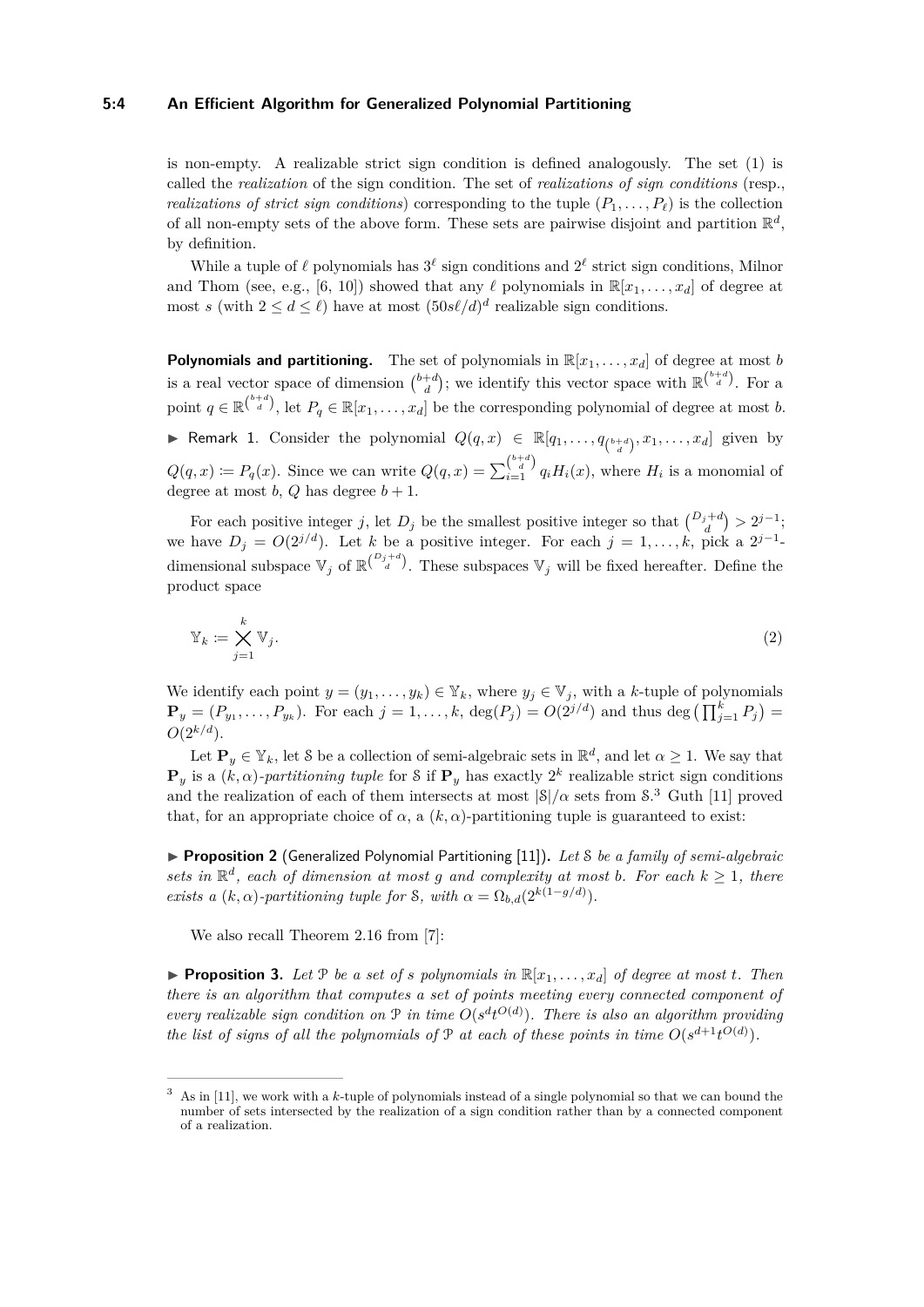#### **5:4 An Efficient Algorithm for Generalized Polynomial Partitioning**

is non-empty. A realizable strict sign condition is defined analogously. The set [\(1\)](#page-2-1) is called the *realization* of the sign condition. The set of *realizations of sign conditions* (resp., *realizations of strict sign conditions*) corresponding to the tuple  $(P_1, \ldots, P_\ell)$  is the collection of all non-empty sets of the above form. These sets are pairwise disjoint and partition  $\mathbb{R}^d$ , by definition.

While a tuple of  $\ell$  polynomials has  $3^{\ell}$  sign conditions and  $2^{\ell}$  strict sign conditions, Milnor and Thom (see, e.g., [\[6,](#page-12-3) [10\]](#page-13-6)) showed that any  $\ell$  polynomials in  $\mathbb{R}[x_1, \ldots, x_d]$  of degree at most *s* (with  $2 \le d \le \ell$ ) have at most  $(50s\ell/d)^d$  realizable sign conditions.

**Polynomials and partitioning.** The set of polynomials in  $\mathbb{R}[x_1, \ldots, x_d]$  of degree at most *b* is a real vector space of dimension  $\binom{b+d}{d}$ ; we identify this vector space with  $\mathbb{R}^{\binom{b+d}{d}}$ . For a point  $q \in \mathbb{R}^{\binom{b+d}{d}}$ , let  $P_q \in \mathbb{R}[x_1,\ldots,x_d]$  be the corresponding polynomial of degree at most *b*.

<span id="page-3-1"></span>▶ Remark 1. Consider the polynomial  $Q(q, x)$  ∈  $\mathbb{R}[q_1, \ldots, q_{\binom{b+d}{d}}, x_1, \ldots, x_d]$  given by  $Q(q, x) \coloneqq P_q(x)$ . Since we can write  $Q(q, x) = \sum_{i=1}^{b+d} q_i H_i(x)$ , where  $H_i$  is a monomial of degree at most *b*, *Q* has degree  $b + 1$ .

For each positive integer *j*, let  $D_j$  be the smallest positive integer so that  $\binom{D_j+d}{d} > 2^{j-1}$ ; we have  $D_j = O(2^{j/d})$ . Let *k* be a positive integer. For each  $j = 1, \ldots, k$ , pick a  $2^{j-1}$ dimensional subspace  $\mathbb{V}_j$  of  $\mathbb{R}^{\binom{D_j+d}{d}}$ . These subspaces  $\mathbb{V}_j$  will be fixed hereafter. Define the product space

$$
\mathbb{Y}_k := \bigtimes_{j=1}^k \mathbb{V}_j. \tag{2}
$$

We identify each point  $y = (y_1, \ldots, y_k) \in Y_k$ , where  $y_j \in V_j$ , with a *k*-tuple of polynomials  $\mathbf{P}_y = (P_{y_1}, \ldots, P_{y_k})$ . For each  $j = 1, \ldots, k$ ,  $\deg(P_j) = O(2^{j/d})$  and thus  $\deg\left(\prod_{j=1}^k P_j\right) =$  $O(2^{k/d})$ .

Let  $\mathbf{P}_y \in \mathbb{Y}_k$ , let S be a collection of semi-algebraic sets in  $\mathbb{R}^d$ , and let  $\alpha \geq 1$ . We say that  $\mathbf{P}_y$  is a  $(k, \alpha)$ -partitioning tuple for S if  $\mathbf{P}_y$  has exactly 2<sup>k</sup> realizable strict sign conditions and the realization of each of them intersects at most  $|\mathcal{S}|/\alpha$  sets from  $\mathcal{S}$ .<sup>[3](#page-3-0)</sup> Guth [\[11\]](#page-13-1) proved that, for an appropriate choice of  $\alpha$ , a  $(k, \alpha)$ -partitioning tuple is guaranteed to exist:

<span id="page-3-2"></span>▶ **Proposition 2** (Generalized Polynomial Partitioning [\[11\]](#page-13-1)). Let *S* be a family of semi-algebraic *sets in*  $\mathbb{R}^d$ , each of dimension at most g and complexity at most b. For each  $k \geq 1$ , there *exists a*  $(k, \alpha)$ *-partitioning tuple for S, with*  $\alpha = \Omega_{b,d}(2^{k(1-g/d)})$ *.* 

We also recall Theorem 2.16 from [\[7\]](#page-12-4):

<span id="page-3-3"></span>**Proposition 3.** Let P be a set of *s* polynomials in  $\mathbb{R}[x_1, \ldots, x_d]$  of degree at most *t*. Then *there is an algorithm that computes a set of points meeting every connected component of every realizable sign condition on*  $P$  *in time*  $O(s^d t^{O(d)})$ *. There is also an algorithm providing the list of signs of all the polynomials of*  $P$  *<i>at each of these points in time*  $O(s^{d+1}t^{O(d)})$ *.* 

<span id="page-3-0"></span><sup>3</sup> As in [\[11\]](#page-13-1), we work with a *k*-tuple of polynomials instead of a single polynomial so that we can bound the number of sets intersected by the realization of a sign condition rather than by a connected component of a realization.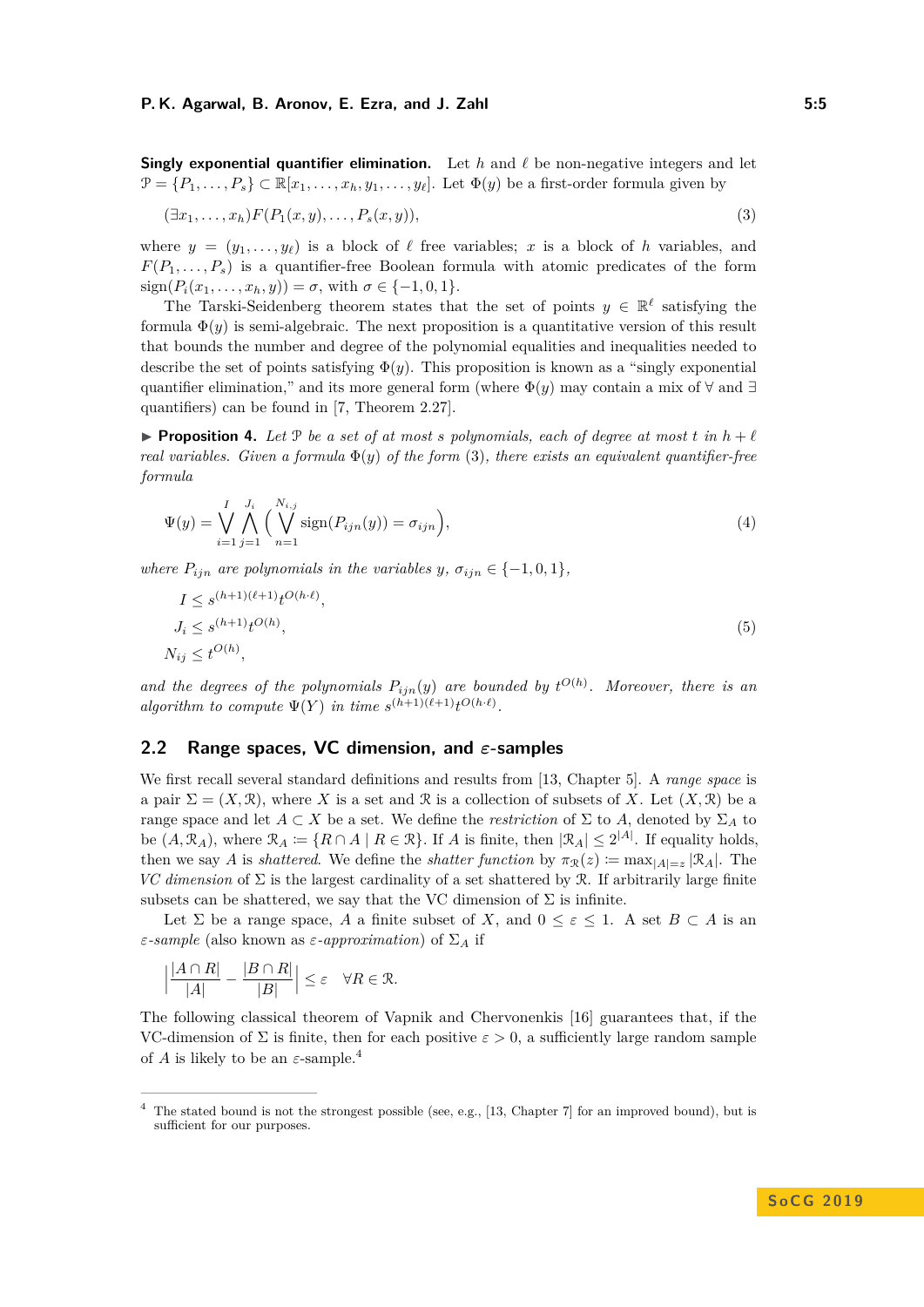**Singly exponential quantifier elimination.** Let  $h$  and  $\ell$  be non-negative integers and let  $\mathcal{P} = \{P_1, \ldots, P_s\} \subset \mathbb{R}[x_1, \ldots, x_h, y_1, \ldots, y_\ell]$ . Let  $\Phi(y)$  be a first-order formula given by

<span id="page-4-0"></span>
$$
(\exists x_1, \ldots, x_h) F(P_1(x, y), \ldots, P_s(x, y)), \qquad (3)
$$

where  $y = (y_1, \ldots, y_\ell)$  is a block of  $\ell$  free variables; *x* is a block of *h* variables, and  $F(P_1, \ldots, P_s)$  is a quantifier-free Boolean formula with atomic predicates of the form  $sign(P_i(x_1, \ldots, x_h, y)) = \sigma$ , with  $\sigma \in \{-1, 0, 1\}$ .

The Tarski-Seidenberg theorem states that the set of points  $y \in \mathbb{R}^{\ell}$  satisfying the formula  $\Phi(y)$  is semi-algebraic. The next proposition is a quantitative version of this result that bounds the number and degree of the polynomial equalities and inequalities needed to describe the set of points satisfying  $\Phi(y)$ . This proposition is known as a "singly exponential" quantifier elimination," and its more general form (where  $\Phi(y)$ ) may contain a mix of  $\forall$  and  $\exists$ quantifiers) can be found in [\[7,](#page-12-4) Theorem 2.27].

<span id="page-4-2"></span>**Proposition 4.** Let P be a set of at most *s* polynomials, each of degree at most  $t$  in  $h + \ell$ *real variables. Given a formula*  $\Phi(y)$  *of the form* [\(3\)](#page-4-0)*, there exists an equivalent quantifier-free formula*

$$
\Psi(y) = \bigvee_{i=1}^{I} \bigwedge_{j=1}^{J_i} \Big( \bigvee_{n=1}^{N_{i,j}} \text{sign}(P_{ijn}(y)) = \sigma_{ijn} \Big), \tag{4}
$$

*where*  $P_{ijn}$  *are polynomials in the variables y,*  $\sigma_{ijn} \in \{-1, 0, 1\}$ *,* 

$$
I \le s^{(h+1)(\ell+1)} t^{O(h \cdot \ell)},
$$
  
\n
$$
J_i \le s^{(h+1)} t^{O(h)},
$$
  
\n
$$
N_{ij} \le t^{O(h)},
$$
\n(5)

and the degrees of the polynomials  $P_{ijn}(y)$  are bounded by  $t^{O(h)}$ . Moreover, there is an *algorithm to compute*  $\Psi(Y)$  *in time*  $s^{(h+1)(\ell+1)}t^{O(h \cdot \ell)}$ .

# **2.2 Range spaces, VC dimension, and** *ε***-samples**

We first recall several standard definitions and results from [\[13,](#page-13-7) Chapter 5]. A *range space* is a pair  $\Sigma = (X, \mathcal{R})$ , where X is a set and  $\mathcal{R}$  is a collection of subsets of X. Let  $(X, \mathcal{R})$  be a range space and let  $A \subset X$  be a set. We define the *restriction* of  $\Sigma$  to  $A$ , denoted by  $\Sigma_A$  to be  $(A, \mathcal{R}_A)$ , where  $\mathcal{R}_A := \{R \cap A \mid R \in \mathcal{R}\}$ . If *A* is finite, then  $|\mathcal{R}_A| \leq 2^{|A|}$ . If equality holds, then we say *A* is *shattered*. We define the *shatter function* by  $\pi_{\mathcal{R}}(z) := \max_{|A|=\bar{z}} |\mathcal{R}_A|$ . The *VC dimension* of  $\Sigma$  is the largest cardinality of a set shattered by R. If arbitrarily large finite subsets can be shattered, we say that the VC dimension of  $\Sigma$  is infinite.

Let  $\Sigma$  be a range space, *A* a finite subset of *X*, and  $0 \leq \varepsilon \leq 1$ . A set  $B \subset A$  is an *ε-sample* (also known as *ε-approximation*) of Σ*<sup>A</sup>* if

$$
\left|\frac{|A\cap R|}{|A|}-\frac{|B\cap R|}{|B|}\right|\leq \varepsilon\quad \forall R\in\mathfrak{R}.
$$

The following classical theorem of Vapnik and Chervonenkis [\[16\]](#page-13-8) guarantees that, if the VC-dimension of  $\Sigma$  is finite, then for each positive  $\varepsilon > 0$ , a sufficiently large random sample of *A* is likely to be an  $\varepsilon$ -sample.<sup>[4](#page-4-1)</sup>

<span id="page-4-1"></span><sup>&</sup>lt;sup>4</sup> The stated bound is not the strongest possible (see, e.g., [\[13,](#page-13-7) Chapter 7] for an improved bound), but is sufficient for our purposes.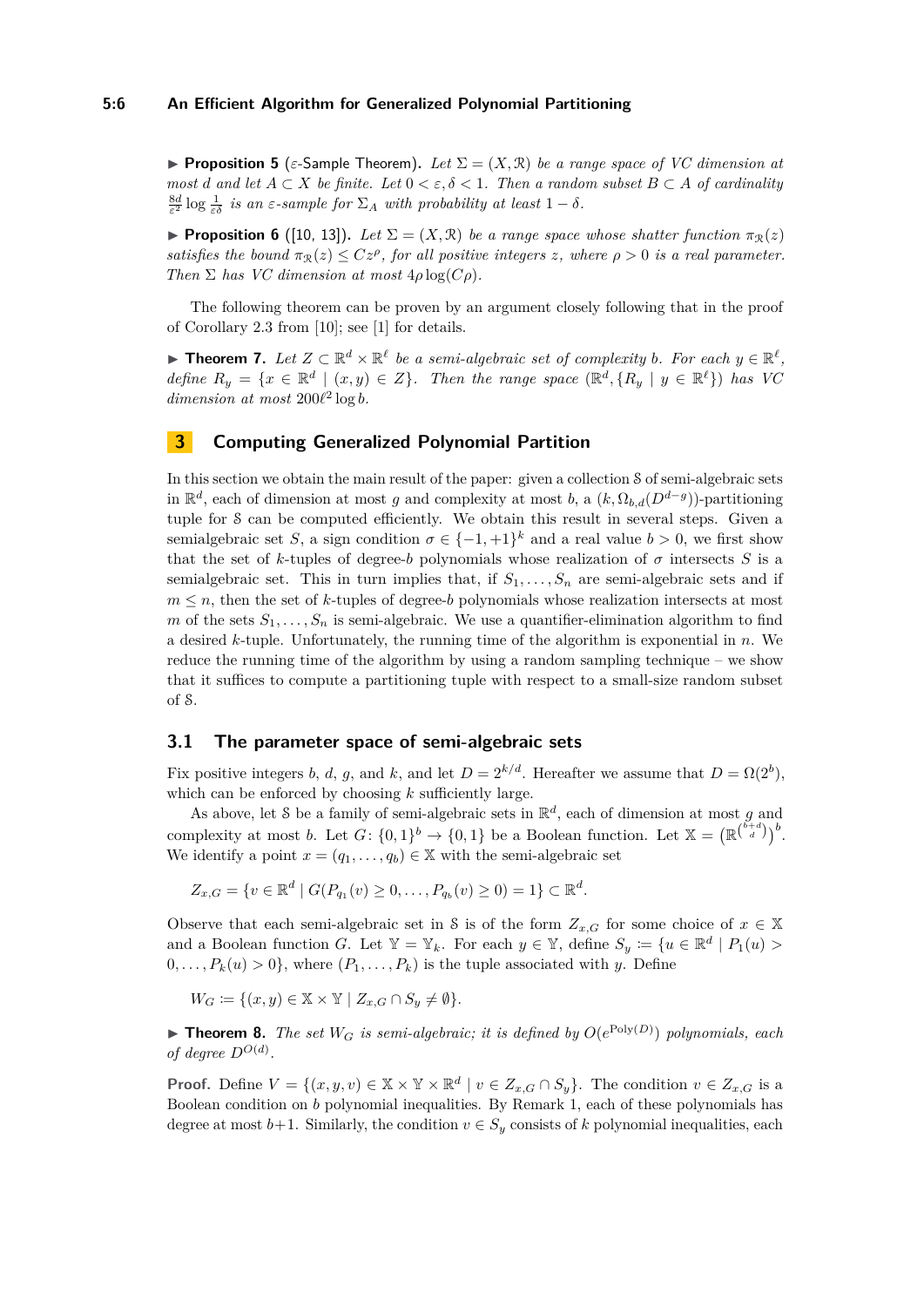#### **5:6 An Efficient Algorithm for Generalized Polynomial Partitioning**

**Proposition 5** ( $\varepsilon$ -Sample Theorem). Let  $\Sigma = (X, \mathcal{R})$  be a range space of VC dimension at *most d* and let  $A \subset X$  *be finite.* Let  $0 \lt \varepsilon, \delta \lt 1$ . Then a random subset  $B \subset A$  *of cardinality*  $\frac{8d}{\varepsilon^2}$  log  $\frac{1}{\varepsilon \delta}$  *is an*  $\varepsilon$ -*sample for*  $\Sigma_A$  *with probability at least*  $1 - \delta$ *.* 

**Proposition 6** ([\[10,](#page-13-6) [13\]](#page-13-7)). Let  $\Sigma = (X, \mathcal{R})$  be a range space whose shatter function  $\pi_{\mathcal{R}}(z)$ *satisfies the bound*  $\pi_{\mathcal{R}}(z) \leq Cz^{\rho}$ , for all positive integers z, where  $\rho > 0$  is a real parameter. *Then*  $\Sigma$  *has VC* dimension at most  $4\rho \log(C\rho)$ .

The following theorem can be proven by an argument closely following that in the proof of Corollary 2.3 from [\[10\]](#page-13-6); see [\[1\]](#page-12-5) for details.

▶ **Theorem 7.** Let  $Z \subset \mathbb{R}^d \times \mathbb{R}^{\ell}$  be a semi-algebraic set of complexity b. For each  $y \in \mathbb{R}^{\ell}$ , *define*  $R_y = \{x \in \mathbb{R}^d \mid (x, y) \in Z\}$ . Then the range space  $(\mathbb{R}^d, \{R_y \mid y \in \mathbb{R}^\ell\})$  has VC  $dimension \, at \, most \, 200\ell^2 \log b$ .

# **3 Computing Generalized Polynomial Partition**

In this section we obtain the main result of the paper: given a collection S of semi-algebraic sets in  $\mathbb{R}^d$ , each of dimension at most *g* and complexity at most *b*, a  $(k, \Omega_{b,d}(D^{d-g}))$ -partitioning tuple for S can be computed efficiently. We obtain this result in several steps. Given a semialgebraic set *S*, a sign condition  $\sigma \in \{-1, +1\}^k$  and a real value  $b > 0$ , we first show that the set of *k*-tuples of degree-*b* polynomials whose realization of  $\sigma$  intersects *S* is a semialgebraic set. This in turn implies that, if  $S_1, \ldots, S_n$  are semi-algebraic sets and if  $m \leq n$ , then the set of *k*-tuples of degree-*b* polynomials whose realization intersects at most *m* of the sets  $S_1, \ldots, S_n$  is semi-algebraic. We use a quantifier-elimination algorithm to find a desired *k*-tuple. Unfortunately, the running time of the algorithm is exponential in *n*. We reduce the running time of the algorithm by using a random sampling technique – we show that it suffices to compute a partitioning tuple with respect to a small-size random subset of S.

# <span id="page-5-1"></span>**3.1 The parameter space of semi-algebraic sets**

Fix positive integers *b*, *d*, *g*, and *k*, and let  $D = 2^{k/d}$ . Hereafter we assume that  $D = \Omega(2^b)$ , which can be enforced by choosing *k* sufficiently large.

As above, let S be a family of semi-algebraic sets in  $\mathbb{R}^d$ , each of dimension at most *g* and complexity at most *b*. Let  $G: \{0,1\}^b \to \{0,1\}$  be a Boolean function. Let  $\mathbb{X} = (\mathbb{R}^{\binom{b+d}{d}})^b$ . We identify a point  $x = (q_1, \ldots, q_b) \in \mathbb{X}$  with the semi-algebraic set

$$
Z_{x,G} = \{v \in \mathbb{R}^d \mid G(P_{q_1}(v) \ge 0, \dots, P_{q_b}(v) \ge 0) = 1\} \subset \mathbb{R}^d.
$$

Observe that each semi-algebraic set in S is of the form  $Z_{x,G}$  for some choice of  $x \in X$ and a Boolean function *G*. Let  $\mathbb{Y} = \mathbb{Y}_k$ . For each  $y \in \mathbb{Y}$ , define  $S_y := \{u \in \mathbb{R}^d \mid P_1(u) >$  $0, \ldots, P_k(u) > 0$ , where  $(P_1, \ldots, P_k)$  is the tuple associated with *y*. Define

 $W_G \coloneqq \{(x, y) \in \mathbb{X} \times \mathbb{Y} \mid Z_{x,G} \cap S_y \neq \emptyset\}.$ 

<span id="page-5-0"></span>**Theorem 8.** *The set*  $W_G$  *is semi-algebraic; it is defined by*  $O(e^{\text{Poly}(D)})$  *polynomials, each of degree*  $D^{O(d)}$ *.* 

**Proof.** Define  $V = \{(x, y, v) \in \mathbb{X} \times \mathbb{Y} \times \mathbb{R}^d \mid v \in Z_{x,G} \cap S_y\}$ . The condition  $v \in Z_{x,G}$  is a Boolean condition on *b* polynomial inequalities. By Remark [1,](#page-3-1) each of these polynomials has degree at most  $b+1$ . Similarly, the condition  $v \in S_y$  consists of k polynomial inequalities, each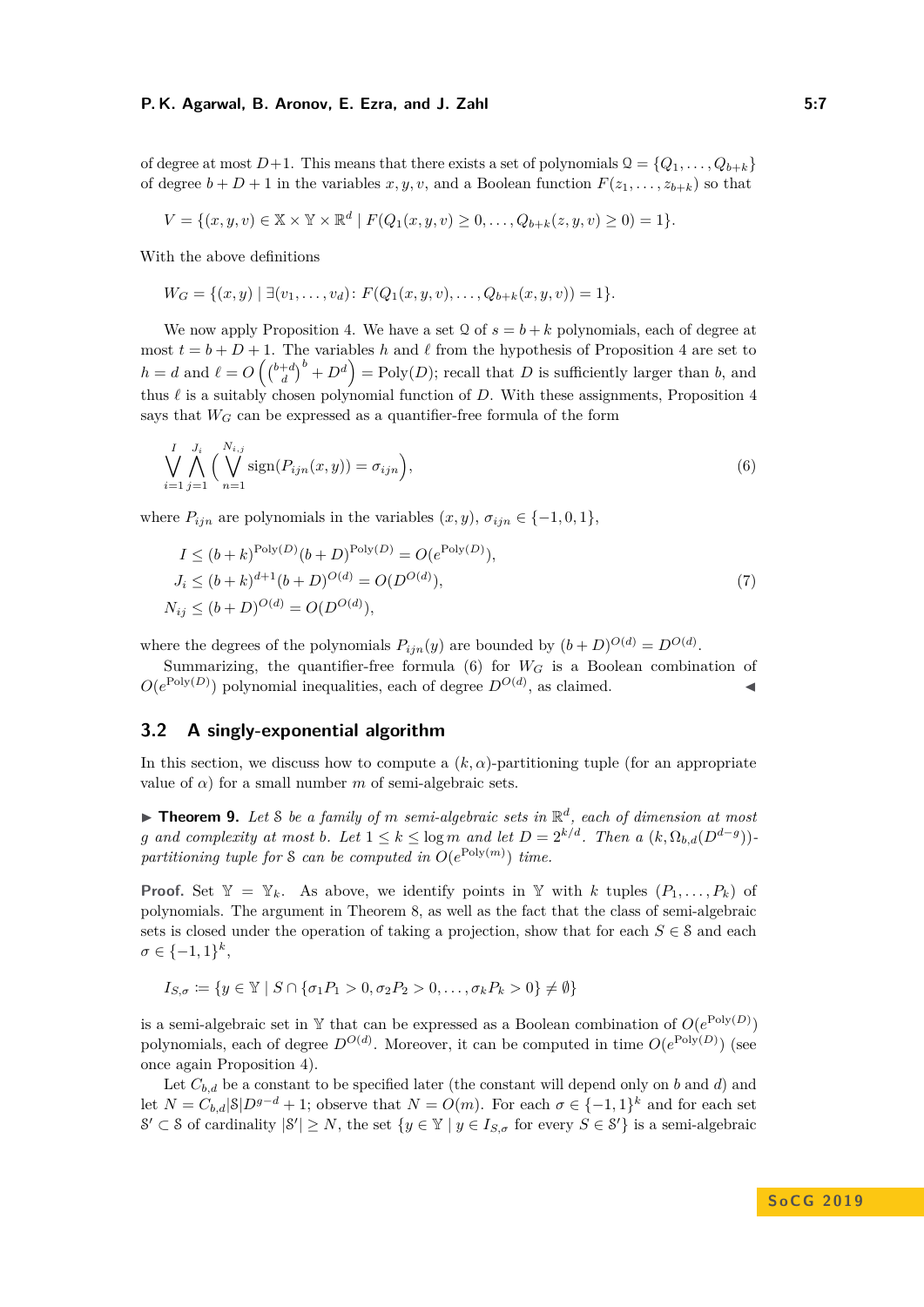#### **P. K. Agarwal, B. Aronov, E. Ezra, and J. Zahl 5:7**

of degree at most  $D+1$ . This means that there exists a set of polynomials  $Q = \{Q_1, \ldots, Q_{b+k}\}\$ of degree  $b + D + 1$  in the variables  $x, y, v$ , and a Boolean function  $F(z_1, \ldots, z_{b+k})$  so that

$$
V = \{(x, y, v) \in \mathbb{X} \times \mathbb{Y} \times \mathbb{R}^d \mid F(Q_1(x, y, v) \ge 0, \dots, Q_{b+k}(z, y, v) \ge 0) = 1\}.
$$

With the above definitions

$$
W_G = \{(x, y) \mid \exists (v_1, \ldots, v_d) \colon F(Q_1(x, y, v), \ldots, Q_{b+k}(x, y, v)) = 1\}.
$$

We now apply Proposition [4.](#page-4-2) We have a set  $\Omega$  of  $s = b + k$  polynomials, each of degree at most  $t = b + D + 1$ . The variables h and l from the hypothesis of Proposition [4](#page-4-2) are set to  $h = d$  and  $\ell = O\left(\binom{b+d}{d}^b + D^d\right) = \text{Poly}(D)$ ; recall that *D* is sufficiently larger than *b*, and thus  $\ell$  is a suitably chosen polynomial function of *D*. With these assignments, Proposition [4](#page-4-2) says that  $W_G$  can be expressed as a quantifier-free formula of the form

<span id="page-6-0"></span>
$$
\bigvee_{i=1}^{I} \bigwedge_{j=1}^{J_i} \Big( \bigvee_{n=1}^{N_{i,j}} \text{sign}(P_{ijn}(x, y)) = \sigma_{ijn} \Big), \tag{6}
$$

where  $P_{ijn}$  are polynomials in the variables  $(x, y)$ ,  $\sigma_{ijn} \in \{-1, 0, 1\}$ ,

$$
I \le (b+k)^{\text{Poly}(D)}(b+D)^{\text{Poly}(D)} = O(e^{\text{Poly}(D)}),
$$
  
\n
$$
J_i \le (b+k)^{d+1}(b+D)^{O(d)} = O(D^{O(d)}),
$$
  
\n
$$
N_{ij} \le (b+D)^{O(d)} = O(D^{O(d)}),
$$
\n(7)

where the degrees of the polynomials  $P_{ijn}(y)$  are bounded by  $(b+D)^{O(d)} = D^{O(d)}$ .

Summarizing, the quantifier-free formula  $(6)$  for  $W_G$  is a Boolean combination of  $O(e^{\text{Poly}(D)})$  polynomial inequalities, each of degree  $D^{O(d)}$ , as claimed.

## **3.2 A singly-exponential algorithm**

In this section, we discuss how to compute a  $(k, \alpha)$ -partitioning tuple (for an appropriate value of  $\alpha$ ) for a small number *m* of semi-algebraic sets.

<span id="page-6-1"></span> $\blacktriangleright$  **Theorem 9.** Let S be a family of m semi-algebraic sets in  $\mathbb{R}^d$ , each of dimension at most *g* and complexity at most *b*. Let  $1 \leq k \leq \log m$  and let  $D = 2^{k/d}$ . Then a  $(k, \Omega_{b,d}(D^{d-g}))$ partitioning tuple for S can be computed in  $O(e^{\text{Poly}(m)})$  time.

**Proof.** Set  $Y = Y_k$ . As above, we identify points in Y with *k* tuples  $(P_1, \ldots, P_k)$  of polynomials. The argument in Theorem [8,](#page-5-0) as well as the fact that the class of semi-algebraic sets is closed under the operation of taking a projection, show that for each  $S \in \mathcal{S}$  and each  $\sigma \in \{-1, 1\}^k,$ 

$$
I_{S,\sigma} \coloneqq \{ y \in \mathbb{Y} \mid S \cap \{ \sigma_1 P_1 > 0, \sigma_2 P_2 > 0, \dots, \sigma_k P_k > 0 \} \neq \emptyset \}
$$

is a semi-algebraic set in Y that can be expressed as a Boolean combination of  $O(e^{\text{Poly}(D)})$ polynomials, each of degree  $D^{O(d)}$ . Moreover, it can be computed in time  $O(e^{\text{Poly}(D)})$  (see once again Proposition [4\)](#page-4-2).

Let  $C_{b,d}$  be a constant to be specified later (the constant will depend only on *b* and *d*) and let  $N = C_{b,d} |S| D^{g-d} + 1$ ; observe that  $N = O(m)$ . For each  $\sigma \in \{-1,1\}^k$  and for each set  $S' \subset S$  of cardinality  $|S'| \geq N$ , the set  $\{y \in \mathbb{Y} \mid y \in I_{S,\sigma} \text{ for every } S \in S'\}$  is a semi-algebraic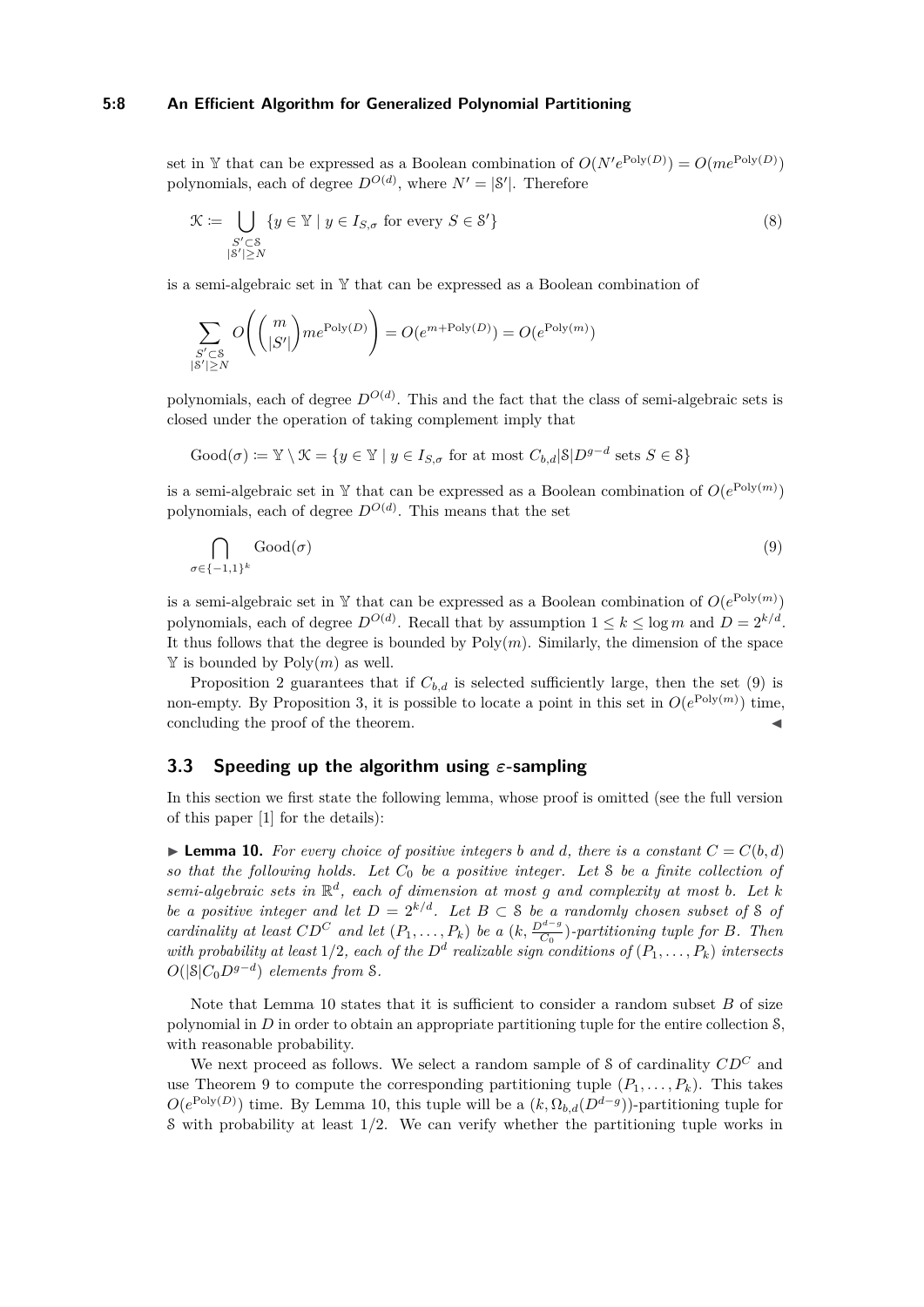#### **5:8 An Efficient Algorithm for Generalized Polynomial Partitioning**

set in Y that can be expressed as a Boolean combination of  $O(N'e^{\text{Poly}(D)}) = O(me^{\text{Poly}(D)})$ polynomials, each of degree  $D^{O(d)}$ , where  $N' = |S'|$ . Therefore

$$
\mathcal{K} := \bigcup_{\substack{S' \subset \mathcal{S} \\ |\mathcal{S}'| \ge N}} \{ y \in \mathcal{Y} \mid y \in I_{S,\sigma} \text{ for every } S \in \mathcal{S}' \} \tag{8}
$$

is a semi-algebraic set in Y that can be expressed as a Boolean combination of

$$
\sum_{\substack{S' \subset \mathcal{S} \\ |S'| \ge N}} O\Biggl(\binom{m}{|S'|} m e^{\text{Poly}(D)}\Biggr) = O(e^{m + \text{Poly}(D)}) = O(e^{\text{Poly}(m)})
$$

polynomials, each of degree  $D^{O(d)}$ . This and the fact that the class of semi-algebraic sets is closed under the operation of taking complement imply that

$$
\text{Good}(\sigma) \coloneqq \mathbb{Y} \setminus \mathcal{K} = \{ y \in \mathbb{Y} \mid y \in I_{S,\sigma} \text{ for at most } C_{b,d} | \mathcal{S} | D^{g-d} \text{ sets } S \in \mathcal{S} \}
$$

is a semi-algebraic set in Y that can be expressed as a Boolean combination of  $O(e^{\text{Poly}(m)})$ polynomials, each of degree  $D^{O(d)}$ . This means that the set

<span id="page-7-0"></span>
$$
\bigcap_{\sigma \in \{-1,1\}^k} \text{Good}(\sigma) \tag{9}
$$

is a semi-algebraic set in Y that can be expressed as a Boolean combination of  $O(e^{\text{Poly}(m)})$ polynomials, each of degree  $D^{O(d)}$ . Recall that by assumption  $1 \leq k \leq \log m$  and  $D = 2^{k/d}$ . It thus follows that the degree is bounded by  $Poly(m)$ . Similarly, the dimension of the space  $\mathbb Y$  is bounded by  $Poly(m)$  as well.

Proposition [2](#page-3-2) guarantees that if  $C_{b,d}$  is selected sufficiently large, then the set [\(9\)](#page-7-0) is non-empty. By Proposition [3,](#page-3-3) it is possible to locate a point in this set in  $O(e^{\text{Poly}(m)})$  time, concluding the proof of the theorem.

## **3.3 Speeding up the algorithm using** *ε***-sampling**

In this section we first state the following lemma, whose proof is omitted (see the full version of this paper [\[1\]](#page-12-5) for the details):

<span id="page-7-1"></span>**Lemma 10.** For every choice of positive integers b and d, there is a constant  $C = C(b,d)$ *so that the following holds. Let C*<sup>0</sup> *be a positive integer. Let* S *be a finite collection of semi-algebraic sets in*  $\mathbb{R}^d$ , *each of dimension at most g and complexity at most b. Let k be a positive integer and let*  $D = 2^{k/d}$ *. Let*  $B \subset S$  *be a randomly chosen subset of* S *of cardinality at least*  $CD^C$  *and let*  $(P_1, \ldots, P_k)$  *be a*  $(k, \frac{D^{d-g}}{C_0})$ *-partitioning tuple for B. Then with probability at least*  $1/2$ *, each of the*  $D^d$  *realizable sign conditions of*  $(P_1, \ldots, P_k)$  *intersects*  $O(|S|C_0D^{g-d})$  *elements from S*.

Note that Lemma [10](#page-7-1) states that it is sufficient to consider a random subset *B* of size polynomial in *D* in order to obtain an appropriate partitioning tuple for the entire collection S, with reasonable probability.

We next proceed as follows. We select a random sample of S of cardinality *CD<sup>C</sup>* and use Theorem [9](#page-6-1) to compute the corresponding partitioning tuple  $(P_1, \ldots, P_k)$ . This takes  $O(e^{\text{Poly}(D)})$  time. By Lemma [10,](#page-7-1) this tuple will be a  $(k, \Omega_{b,d}(D^{d-g}))$ -partitioning tuple for S with probability at least 1*/*2. We can verify whether the partitioning tuple works in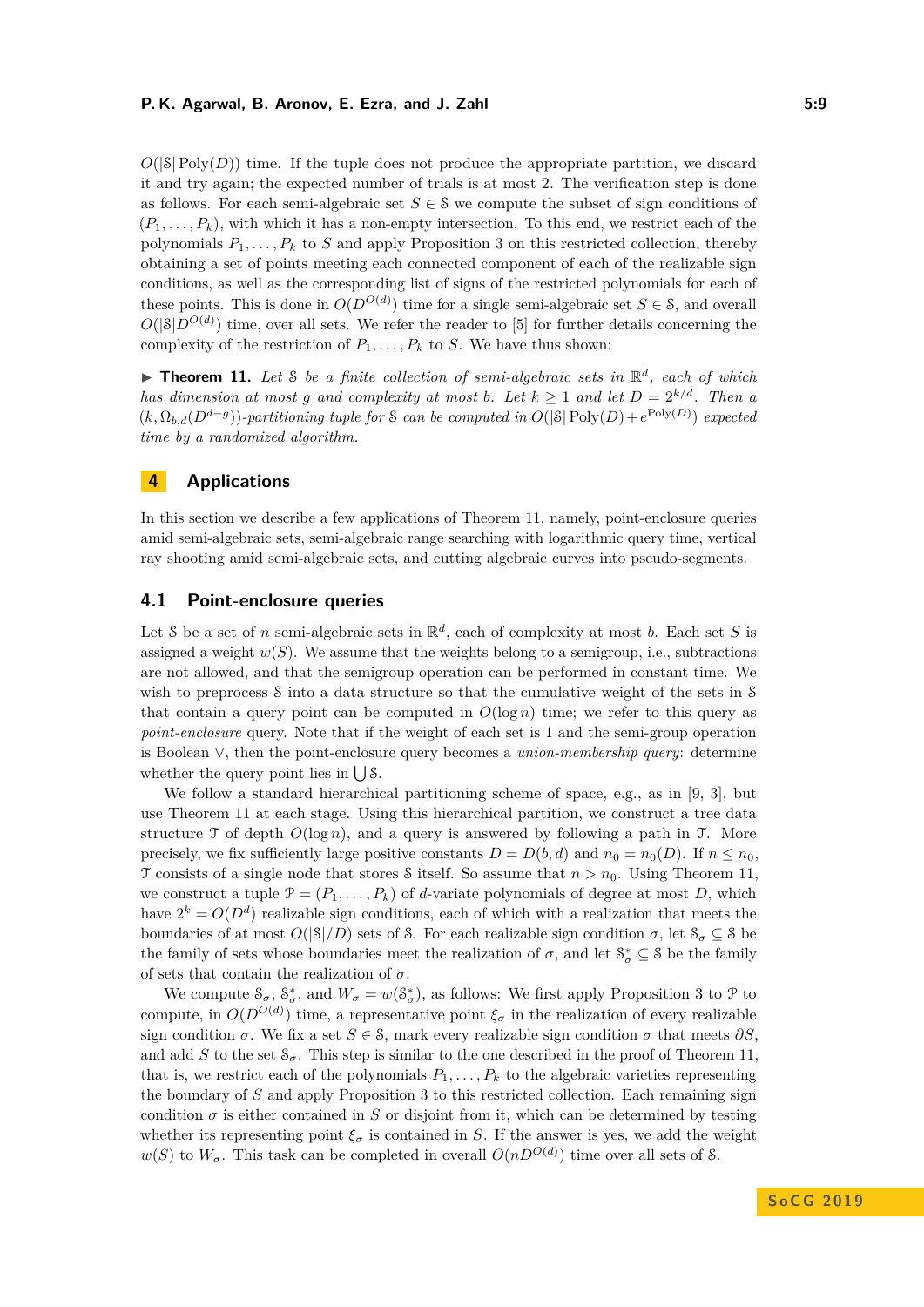#### **P. K. Agarwal, B. Aronov, E. Ezra, and J. Zahl 5:9 1988 1988 1988 1988 1988 1988 1988 1988 1988 1988 1988 1988 1988 1988 1988 1988 1988 1988 1988 1988 1988 1988 1988 1988**

 $O(|S| \text{Poly}(D))$  time. If the tuple does not produce the appropriate partition, we discard it and try again; the expected number of trials is at most 2. The verification step is done as follows. For each semi-algebraic set  $S \in \mathcal{S}$  we compute the subset of sign conditions of  $(P_1, \ldots, P_k)$ , with which it has a non-empty intersection. To this end, we restrict each of the polynomials  $P_1, \ldots, P_k$  to *S* and apply Proposition [3](#page-3-3) on this restricted collection, thereby obtaining a set of points meeting each connected component of each of the realizable sign conditions, as well as the corresponding list of signs of the restricted polynomials for each of these points. This is done in  $O(D^{O(d)})$  time for a single semi-algebraic set  $S \in \mathcal{S}$ , and overall  $O(|\mathcal{S}|D^{O(d)})$  time, over all sets. We refer the reader to [\[5\]](#page-12-6) for further details concerning the complexity of the restriction of  $P_1, \ldots, P_k$  to *S*. We have thus shown:

<span id="page-8-0"></span>**Theorem 11.** Let S be a finite collection of semi-algebraic sets in  $\mathbb{R}^d$ , each of which *has dimension at most g and complexity at most b. Let*  $k \geq 1$  *and let*  $D = 2^{k/d}$ *. Then a*  $(k, \Omega_{b,d}(D^{d-g}))$ -partitioning tuple for *S* can be computed in  $O(|S| \text{Poly}(D) + e^{\text{Poly}(D)})$  expected *time by a randomized algorithm.*

# <span id="page-8-1"></span>**4 Applications**

In this section we describe a few applications of Theorem [11,](#page-8-0) namely, point-enclosure queries amid semi-algebraic sets, semi-algebraic range searching with logarithmic query time, vertical ray shooting amid semi-algebraic sets, and cutting algebraic curves into pseudo-segments.

# <span id="page-8-2"></span>**4.1 Point-enclosure queries**

Let S be a set of *n* semi-algebraic sets in  $\mathbb{R}^d$ , each of complexity at most *b*. Each set *S* is assigned a weight  $w(S)$ . We assume that the weights belong to a semigroup, i.e., subtractions are not allowed, and that the semigroup operation can be performed in constant time. We wish to preprocess S into a data structure so that the cumulative weight of the sets in S that contain a query point can be computed in  $O(\log n)$  time; we refer to this query as *point-enclosure* query. Note that if the weight of each set is 1 and the semi-group operation is Boolean ∨, then the point-enclosure query becomes a *union-membership query*: determine whether the query point lies in  $\bigcup \mathcal{S}$ .

We follow a standard hierarchical partitioning scheme of space, e.g., as in [\[9,](#page-13-9) [3\]](#page-12-1), but use Theorem [11](#page-8-0) at each stage. Using this hierarchical partition, we construct a tree data structure  $\mathcal T$  of depth  $O(\log n)$ , and a query is answered by following a path in  $\mathcal T$ . More precisely, we fix sufficiently large positive constants  $D = D(b, d)$  and  $n_0 = n_0(D)$ . If  $n \leq n_0$ , T consists of a single node that stores S itself. So assume that  $n > n_0$ . Using Theorem [11,](#page-8-0) we construct a tuple  $\mathcal{P} = (P_1, \ldots, P_k)$  of *d*-variate polynomials of degree at most *D*, which have  $2^k = O(D^d)$  realizable sign conditions, each of which with a realization that meets the boundaries of at most  $O(|\mathcal{S}|/D)$  sets of S. For each realizable sign condition  $\sigma$ , let  $\mathcal{S}_{\sigma} \subseteq \mathcal{S}$  be the family of sets whose boundaries meet the realization of  $\sigma$ , and let  $S^*_{\sigma} \subseteq S$  be the family of sets that contain the realization of *σ*.

We compute  $S_{\sigma}$ ,  $S_{\sigma}^*$ , and  $W_{\sigma} = w(S_{\sigma}^*)$ , as follows: We first apply Proposition [3](#page-3-3) to  $\mathcal P$  to compute, in  $O(D^{O(d)})$  time, a representative point  $\xi_{\sigma}$  in the realization of every realizable sign condition  $\sigma$ . We fix a set  $S \in \mathcal{S}$ , mark every realizable sign condition  $\sigma$  that meets  $\partial S$ . and add *S* to the set  $\mathcal{S}_{\sigma}$ . This step is similar to the one described in the proof of Theorem [11,](#page-8-0) that is, we restrict each of the polynomials  $P_1, \ldots, P_k$  to the algebraic varieties representing the boundary of *S* and apply Proposition [3](#page-3-3) to this restricted collection. Each remaining sign condition  $\sigma$  is either contained in *S* or disjoint from it, which can be determined by testing whether its representing point  $\xi_{\sigma}$  is contained in *S*. If the answer is yes, we add the weight *w*(*S*) to  $W_{\sigma}$ . This task can be completed in overall  $O(nD^{O(d)})$  time over all sets of *S*.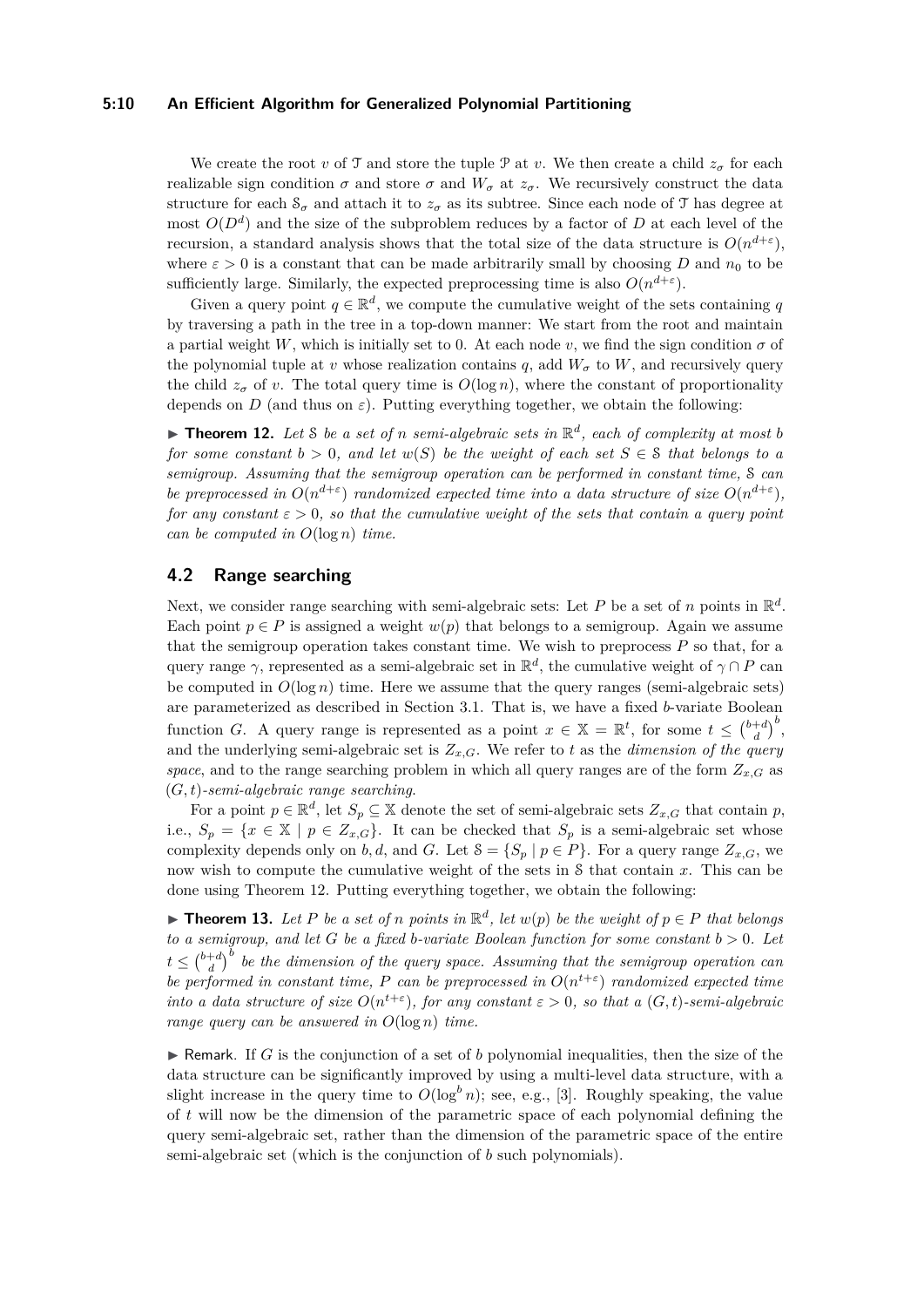#### **5:10 An Efficient Algorithm for Generalized Polynomial Partitioning**

We create the root *v* of T and store the tuple P at *v*. We then create a child  $z_{\sigma}$  for each realizable sign condition  $\sigma$  and store  $\sigma$  and  $W_{\sigma}$  at  $z_{\sigma}$ . We recursively construct the data structure for each  $S_\sigma$  and attach it to  $z_\sigma$  as its subtree. Since each node of T has degree at most  $O(D<sup>d</sup>)$  and the size of the subproblem reduces by a factor of *D* at each level of the recursion, a standard analysis shows that the total size of the data structure is  $O(n^{d+\epsilon})$ , where  $\varepsilon > 0$  is a constant that can be made arbitrarily small by choosing *D* and  $n_0$  to be sufficiently large. Similarly, the expected preprocessing time is also  $O(n^{d+\epsilon})$ .

Given a query point  $q \in \mathbb{R}^d$ , we compute the cumulative weight of the sets containing q by traversing a path in the tree in a top-down manner: We start from the root and maintain a partial weight *W*, which is initially set to 0. At each node *v*, we find the sign condition  $\sigma$  of the polynomial tuple at *v* whose realization contains *q*, add  $W_{\sigma}$  to *W*, and recursively query the child  $z_{\sigma}$  of *v*. The total query time is  $O(\log n)$ , where the constant of proportionality depends on *D* (and thus on  $\varepsilon$ ). Putting everything together, we obtain the following:

<span id="page-9-0"></span>**Fineorem 12.** Let S be a set of *n* semi-algebraic sets in  $\mathbb{R}^d$ , each of complexity at most b *for some constant*  $b > 0$ *, and let*  $w(S)$  *be the weight of each set*  $S \in \mathcal{S}$  *that belongs to a semigroup. Assuming that the semigroup operation can be performed in constant time,* S *can be preprocessed in*  $O(n^{d+\epsilon})$  *randomized expected time into a data structure of size*  $O(n^{d+\epsilon})$ *, for any constant ε >* 0*, so that the cumulative weight of the sets that contain a query point can be computed in O*(log *n*) *time.*

# **4.2 Range searching**

Next, we consider range searching with semi-algebraic sets: Let  $P$  be a set of  $n$  points in  $\mathbb{R}^d$ . Each point  $p \in P$  is assigned a weight  $w(p)$  that belongs to a semigroup. Again we assume that the semigroup operation takes constant time. We wish to preprocess  $P$  so that, for a query range  $\gamma$ , represented as a semi-algebraic set in  $\mathbb{R}^d$ , the cumulative weight of  $\gamma \cap P$  can be computed in  $O(\log n)$  time. Here we assume that the query ranges (semi-algebraic sets) are parameterized as described in Section [3.1.](#page-5-1) That is, we have a fixed *b*-variate Boolean function *G*. A query range is represented as a point  $x \in \mathbb{X} = \mathbb{R}^t$ , for some  $t \leq {b+d \choose d}^b$ , and the underlying semi-algebraic set is  $Z_{x,G}$ . We refer to *t* as the *dimension of the query space*, and to the range searching problem in which all query ranges are of the form  $Z_{x,G}$  as (*G, t*)*-semi-algebraic range searching*.

For a point  $p \in \mathbb{R}^d$ , let  $S_p \subseteq \mathbb{X}$  denote the set of semi-algebraic sets  $Z_{x,G}$  that contain  $p$ , i.e.,  $S_p = \{x \in \mathbb{X} \mid p \in Z_{x,G}\}.$  It can be checked that  $S_p$  is a semi-algebraic set whose complexity depends only on *b, d,* and *G*. Let  $S = \{S_p | p \in P\}$ . For a query range  $Z_{x,G}$ , we now wish to compute the cumulative weight of the sets in S that contain *x*. This can be done using Theorem [12.](#page-9-0) Putting everything together, we obtain the following:

▶ **Theorem 13.** Let P be a set of *n* points in  $\mathbb{R}^d$ , let  $w(p)$  be the weight of  $p \in P$  that belongs *to a semigroup, and let G be a fixed b-variate Boolean function for some constant b >* 0*. Let*  $t \leq {b+d \choose d}^b$  be the dimension of the query space. Assuming that the semigroup operation can *be performed in constant time, P can be preprocessed in*  $O(n^{t+\varepsilon})$  *randomized expected time into a data structure of size*  $O(n^{t+\varepsilon})$ *, for any constant*  $\varepsilon > 0$ *, so that a*  $(G, t)$ *-semi-algebraic range query can be answered in O*(log *n*) *time.*

**F** Remark. If *G* is the conjunction of a set of *b* polynomial inequalities, then the size of the data structure can be significantly improved by using a multi-level data structure, with a slight increase in the query time to  $O(\log^b n)$ ; see, e.g., [\[3\]](#page-12-1). Roughly speaking, the value of *t* will now be the dimension of the parametric space of each polynomial defining the query semi-algebraic set, rather than the dimension of the parametric space of the entire semi-algebraic set (which is the conjunction of *b* such polynomials).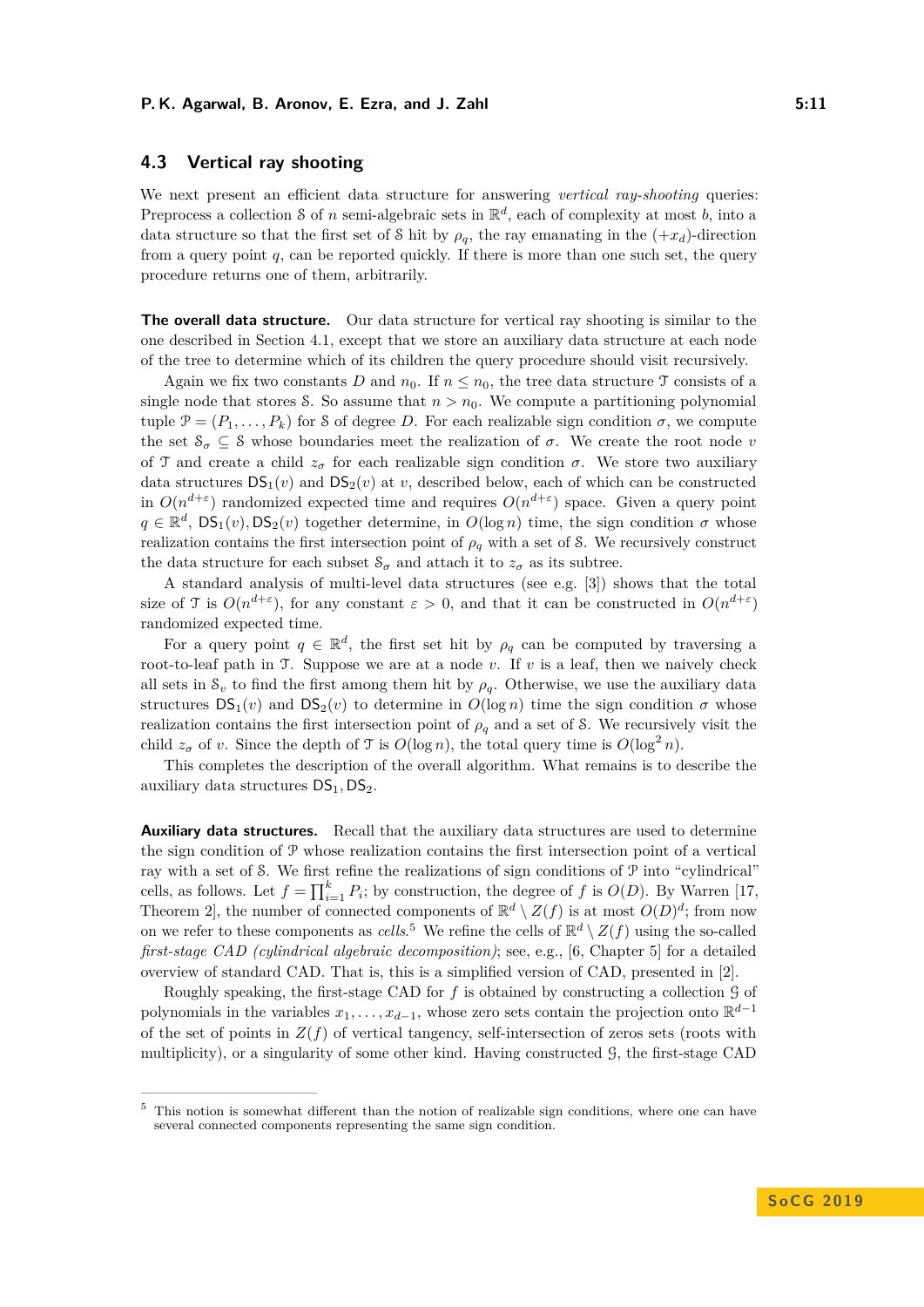# **4.3 Vertical ray shooting**

We next present an efficient data structure for answering *vertical ray-shooting* queries: Preprocess a collection S of *n* semi-algebraic sets in  $\mathbb{R}^d$ , each of complexity at most *b*, into a data structure so that the first set of S hit by  $\rho_q$ , the ray emanating in the  $(+x_d)$ -direction from a query point *q*, can be reported quickly. If there is more than one such set, the query procedure returns one of them, arbitrarily.

**The overall data structure.** Our data structure for vertical ray shooting is similar to the one described in Section [4.1,](#page-8-2) except that we store an auxiliary data structure at each node of the tree to determine which of its children the query procedure should visit recursively.

Again we fix two constants *D* and  $n_0$ . If  $n \leq n_0$ , the tree data structure T consists of a single node that stores S. So assume that  $n > n_0$ . We compute a partitioning polynomial tuple  $\mathcal{P} = (P_1, \ldots, P_k)$  for S of degree *D*. For each realizable sign condition  $\sigma$ , we compute the set  $\mathcal{S}_{\sigma} \subseteq \mathcal{S}$  whose boundaries meet the realization of  $\sigma$ . We create the root node *v* of T and create a child  $z_{\sigma}$  for each realizable sign condition  $\sigma$ . We store two auxiliary data structures  $DS_1(v)$  and  $DS_2(v)$  at *v*, described below, each of which can be constructed in  $O(n^{d+\epsilon})$  randomized expected time and requires  $O(n^{d+\epsilon})$  space. Given a query point  $q \in \mathbb{R}^d$ ,  $DS_1(v)$ ,  $DS_2(v)$  together determine, in  $O(log n)$  time, the sign condition  $\sigma$  whose realization contains the first intersection point of  $\rho_q$  with a set of S. We recursively construct the data structure for each subset  $S_{\sigma}$  and attach it to  $z_{\sigma}$  as its subtree.

A standard analysis of multi-level data structures (see e.g. [\[3\]](#page-12-1)) shows that the total size of T is  $O(n^{d+\epsilon})$ , for any constant  $\epsilon > 0$ , and that it can be constructed in  $O(n^{d+\epsilon})$ randomized expected time.

For a query point  $q \in \mathbb{R}^d$ , the first set hit by  $\rho_q$  can be computed by traversing a root-to-leaf path in T. Suppose we are at a node *v*. If *v* is a leaf, then we naively check all sets in  $S_v$  to find the first among them hit by  $\rho_q$ . Otherwise, we use the auxiliary data structures  $DS_1(v)$  and  $DS_2(v)$  to determine in  $O(log n)$  time the sign condition  $\sigma$  whose realization contains the first intersection point of  $\rho_q$  and a set of S. We recursively visit the child  $z_{\sigma}$  of *v*. Since the depth of T is  $O(\log n)$ , the total query time is  $O(\log^2 n)$ .

This completes the description of the overall algorithm. What remains is to describe the auxiliary data structures  $DS_1$ ,  $DS_2$ .

**Auxiliary data structures.** Recall that the auxiliary data structures are used to determine the sign condition of P whose realization contains the first intersection point of a vertical ray with a set of S. We first refine the realizations of sign conditions of P into "cylindrical" cells, as follows. Let  $f = \prod_{i=1}^{k} P_i$ ; by construction, the degree of *f* is  $O(D)$ . By Warren [\[17,](#page-13-10) Theorem 2, the number of connected components of  $\mathbb{R}^d \setminus Z(f)$  is at most  $O(D)^d$ ; from now on we refer to these components as *cells*.<sup>[5](#page-10-0)</sup> We refine the cells of  $\mathbb{R}^d \setminus Z(f)$  using the so-called *first-stage CAD (cylindrical algebraic decomposition)*; see, e.g., [\[6,](#page-12-3) Chapter 5] for a detailed overview of standard CAD. That is, this is a simplified version of CAD, presented in [\[2\]](#page-12-0).

Roughly speaking, the first-stage CAD for *f* is obtained by constructing a collection G of polynomials in the variables  $x_1, \ldots, x_{d-1}$ , whose zero sets contain the projection onto  $\mathbb{R}^{d-1}$ of the set of points in  $Z(f)$  of vertical tangency, self-intersection of zeros sets (roots with multiplicity), or a singularity of some other kind. Having constructed G, the first-stage CAD

<span id="page-10-0"></span><sup>&</sup>lt;sup>5</sup> This notion is somewhat different than the notion of realizable sign conditions, where one can have several connected components representing the same sign condition.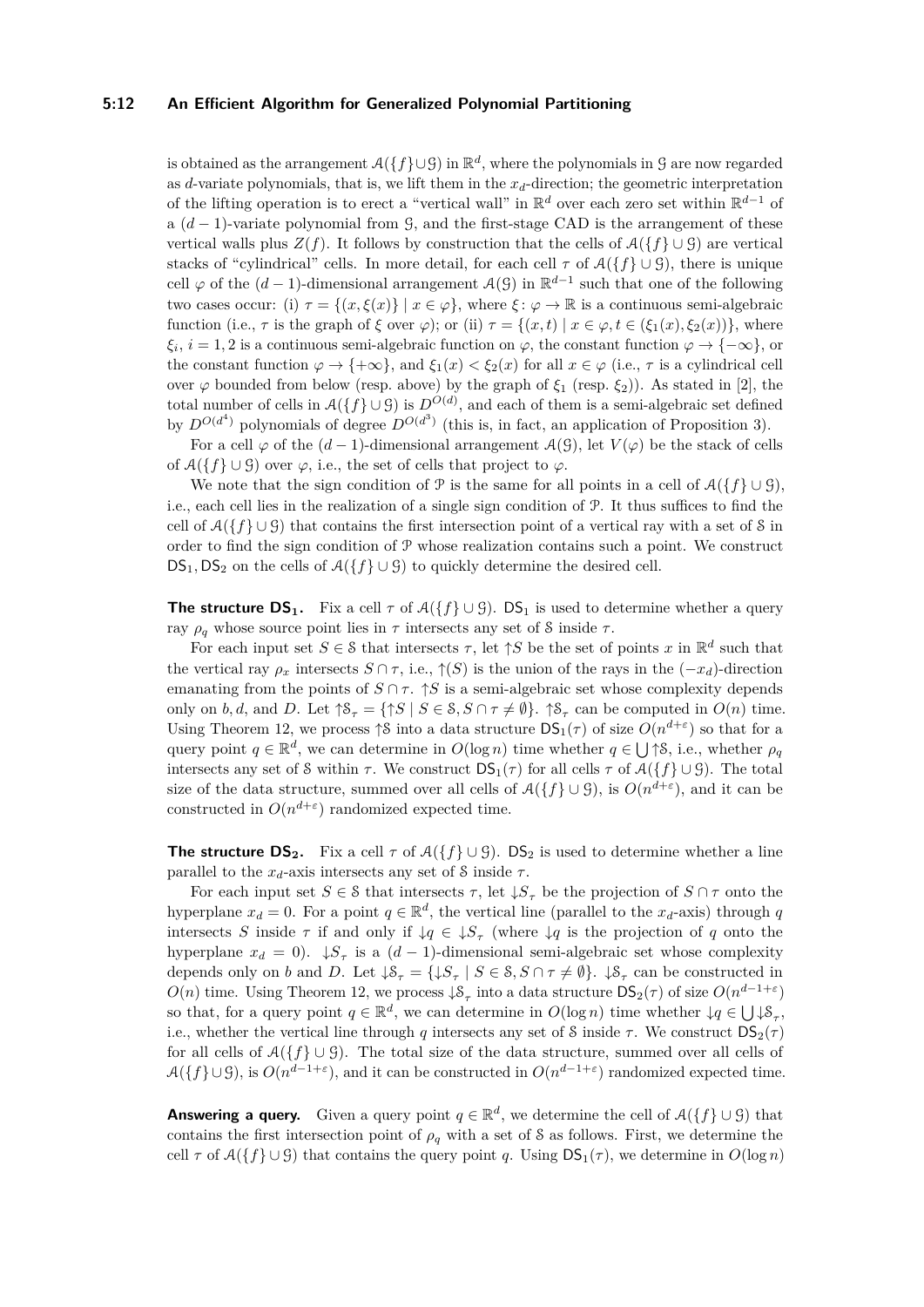#### **5:12 An Efficient Algorithm for Generalized Polynomial Partitioning**

is obtained as the arrangement  $\mathcal{A}(\{f\} \cup \mathcal{G})$  in  $\mathbb{R}^d$ , where the polynomials in G are now regarded as *d*-variate polynomials, that is, we lift them in the  $x_d$ -direction; the geometric interpretation of the lifting operation is to erect a "vertical wall" in  $\mathbb{R}^d$  over each zero set within  $\mathbb{R}^{d-1}$  of a (*d* − 1)-variate polynomial from G, and the first-stage CAD is the arrangement of these vertical walls plus  $Z(f)$ . It follows by construction that the cells of  $\mathcal{A}(\{f\} \cup \mathcal{G})$  are vertical stacks of "cylindrical" cells. In more detail, for each cell  $\tau$  of  $\mathcal{A}(\{f\} \cup \mathcal{G})$ , there is unique cell  $\varphi$  of the  $(d-1)$ -dimensional arrangement  $\mathcal{A}(\mathcal{G})$  in  $\mathbb{R}^{d-1}$  such that one of the following two cases occur: (i)  $\tau = \{(x, \xi(x)\} \mid x \in \varphi\}$ , where  $\xi \colon \varphi \to \mathbb{R}$  is a continuous semi-algebraic function (i.e.,  $\tau$  is the graph of  $\xi$  over  $\varphi$ ); or (ii)  $\tau = \{(x, t) | x \in \varphi, t \in (\xi_1(x), \xi_2(x))\}$ , where  $\xi_i, i = 1, 2$  is a continuous semi-algebraic function on  $\varphi$ , the constant function  $\varphi \to \{-\infty\}$ , or the constant function  $\varphi \to {\pm \infty}$ , and  $\xi_1(x) < \xi_2(x)$  for all  $x \in \varphi$  (i.e.,  $\tau$  is a cylindrical cell over  $\varphi$  bounded from below (resp. above) by the graph of  $\xi_1$  (resp.  $\xi_2$ )). As stated in [\[2\]](#page-12-0), the total number of cells in  $\mathcal{A}(\{f\} \cup \mathcal{G})$  is  $D^{O(d)}$ , and each of them is a semi-algebraic set defined by  $D^{O(d^4)}$  polynomials of degree  $D^{O(d^3)}$  (this is, in fact, an application of Proposition [3\)](#page-3-3).

For a cell  $\varphi$  of the  $(d-1)$ -dimensional arrangement  $\mathcal{A}(\mathcal{G})$ , let  $V(\varphi)$  be the stack of cells of  $\mathcal{A}(\{f\} \cup \mathcal{G})$  over  $\varphi$ , i.e., the set of cells that project to  $\varphi$ .

We note that the sign condition of  $\mathcal{P}$  is the same for all points in a cell of  $\mathcal{A}(\{f\} \cup \mathcal{G})$ , i.e., each cell lies in the realization of a single sign condition of P. It thus suffices to find the cell of  $\mathcal{A}(\{f\} \cup \mathcal{G})$  that contains the first intersection point of a vertical ray with a set of S in order to find the sign condition of  $P$  whose realization contains such a point. We construct  $DS_1$ ,  $DS_2$  on the cells of  $\mathcal{A}(\lbrace f \rbrace \cup \mathcal{G})$  to quickly determine the desired cell.

**The structure DS<sub>1</sub>.** Fix a cell  $\tau$  of  $\mathcal{A}(\{f\} \cup \mathcal{G})$ . DS<sub>1</sub> is used to determine whether a query ray *ρ<sup>q</sup>* whose source point lies in *τ* intersects any set of S inside *τ* .

For each input set  $S \in \mathcal{S}$  that intersects  $\tau$ , let  $\uparrow S$  be the set of points  $x$  in  $\mathbb{R}^d$  such that the vertical ray  $\rho_x$  intersects  $S \cap \tau$ , i.e.,  $\uparrow$ (*S*) is the union of the rays in the  $(-x_d)$ -direction emanating from the points of  $S \cap \tau$ .  $\uparrow S$  is a semi-algebraic set whose complexity depends only on *b*, *d*, and *D*. Let  $\uparrow \mathcal{S}_{\tau} = \{ \uparrow S \mid S \in \mathcal{S}, S \cap \tau \neq \emptyset \}$ .  $\uparrow \mathcal{S}_{\tau}$  can be computed in  $O(n)$  time. Using Theorem [12,](#page-9-0) we process  $\uparrow$ S into a data structure  $DS_1(\tau)$  of size  $O(n^{d+\epsilon})$  so that for a query point  $q \in \mathbb{R}^d$ , we can determine in  $O(\log n)$  time whether  $q \in \bigcup \uparrow S$ , i.e., whether  $\rho_q$ intersects any set of S within  $\tau$ . We construct  $DS_1(\tau)$  for all cells  $\tau$  of  $\mathcal{A}(\{f\} \cup \mathcal{G})$ . The total size of the data structure, summed over all cells of  $\mathcal{A}(\{f\} \cup \mathcal{G})$ , is  $O(n^{d+\epsilon})$ , and it can be constructed in  $O(n^{d+\epsilon})$  randomized expected time.

**The structure DS<sub>2</sub>.** Fix a cell  $\tau$  of  $\mathcal{A}(\{f\} \cup \mathcal{G})$ . DS<sub>2</sub> is used to determine whether a line parallel to the  $x_d$ -axis intersects any set of S inside  $\tau$ .

For each input set  $S \in \mathcal{S}$  that intersects  $\tau$ , let  $\downarrow S_{\tau}$  be the projection of  $S \cap \tau$  onto the hyperplane  $x_d = 0$ . For a point  $q \in \mathbb{R}^d$ , the vertical line (parallel to the  $x_d$ -axis) through *q* intersects *S* inside  $\tau$  if and only if  $\downarrow q \in \downarrow S_{\tau}$  (where  $\downarrow q$  is the projection of *q* onto the hyperplane  $x_d = 0$ .  $\downarrow S_\tau$  is a  $(d-1)$ -dimensional semi-algebraic set whose complexity depends only on *b* and *D*. Let  $\downarrow \mathcal{S}_{\tau} = {\downarrow \mathcal{S}_{\tau} \mid S \in \mathcal{S}, S \cap \tau \neq \emptyset}.$   $\downarrow \mathcal{S}_{\tau}$  can be constructed in  $O(n)$  time. Using Theorem [12,](#page-9-0) we process  $\downarrow$ S<sub>*τ*</sub> into a data structure DS<sub>2</sub>(*τ*) of size  $O(n^{d-1+\varepsilon})$ so that, for a query point  $q \in \mathbb{R}^d$ , we can determine in  $O(\log n)$  time whether  $\downarrow q \in \bigcup \downarrow \mathcal{S}_{\tau}$ , i.e., whether the vertical line through *q* intersects any set of S inside  $\tau$ . We construct  $DS_2(\tau)$ for all cells of  $A({f} \cup G)$ . The total size of the data structure, summed over all cells of  $\mathcal{A}(\{f\} \cup \mathcal{G})$ , is  $O(n^{d-1+\varepsilon})$ , and it can be constructed in  $O(n^{d-1+\varepsilon})$  randomized expected time.

**Answering a query.** Given a query point  $q \in \mathbb{R}^d$ , we determine the cell of  $\mathcal{A}(\lbrace f \rbrace \cup \mathcal{G})$  that contains the first intersection point of  $\rho_q$  with a set of S as follows. First, we determine the cell  $\tau$  of  $\mathcal{A}(\{f\} \cup \mathcal{G})$  that contains the query point *q*. Using  $DS_1(\tau)$ , we determine in  $O(\log n)$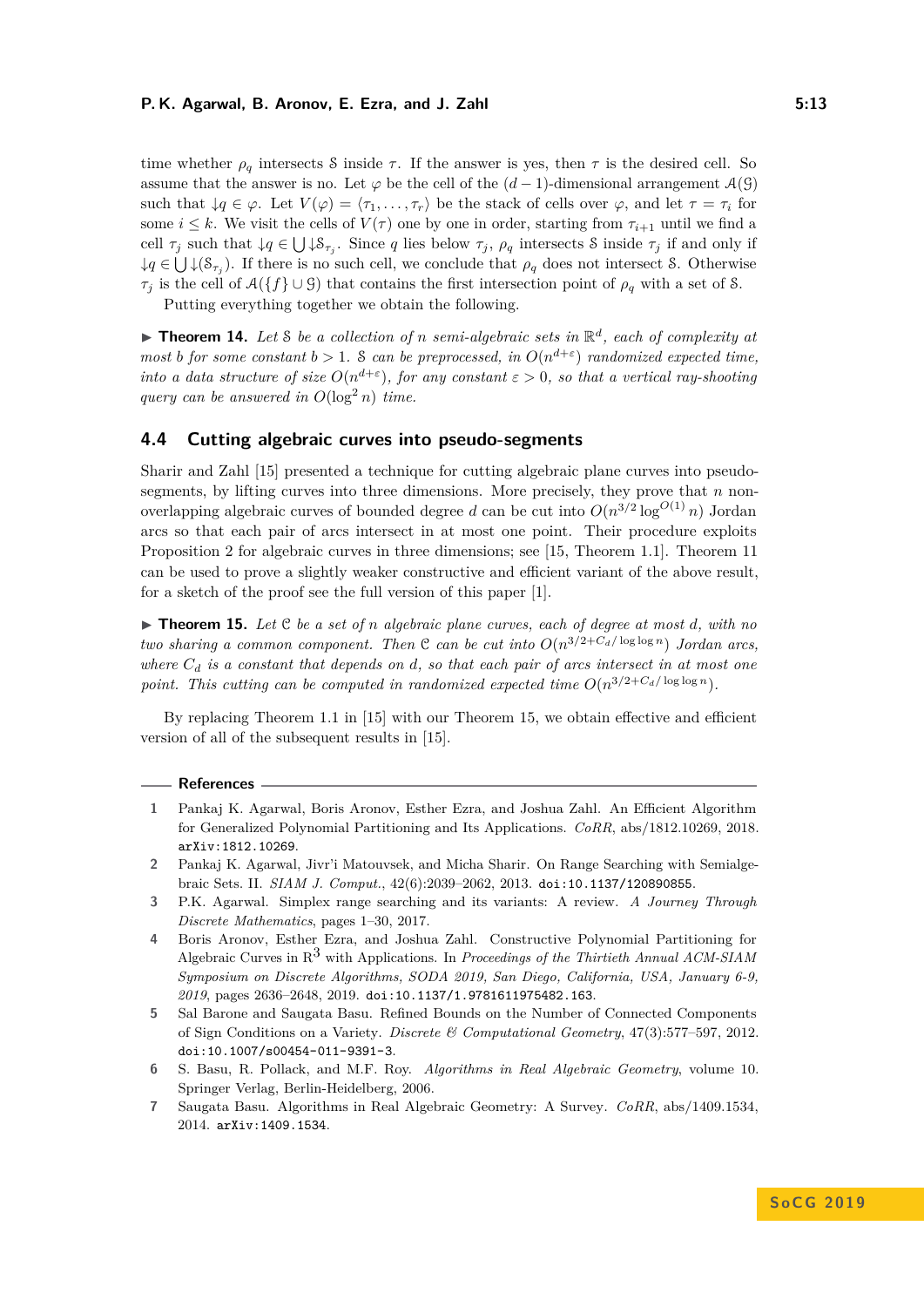time whether  $\rho_q$  intersects S inside  $\tau$ . If the answer is yes, then  $\tau$  is the desired cell. So assume that the answer is no. Let  $\varphi$  be the cell of the  $(d-1)$ -dimensional arrangement  $\mathcal{A}(\mathcal{G})$ such that  $\downarrow q \in \varphi$ . Let  $V(\varphi) = \langle \tau_1, \ldots, \tau_r \rangle$  be the stack of cells over  $\varphi$ , and let  $\tau = \tau_i$  for some  $i \leq k$ . We visit the cells of  $V(\tau)$  one by one in order, starting from  $\tau_{i+1}$  until we find a cell  $\tau_j$  such that  $\downarrow q \in \bigcup \downarrow \mathcal{S}_{\tau_j}$ . Since *q* lies below  $\tau_j$ ,  $\rho_q$  intersects S inside  $\tau_j$  if and only if  $\downarrow q \in \bigcup \downarrow (\mathcal{S}_{\tau_j})$ . If there is no such cell, we conclude that  $\rho_q$  does not intersect S. Otherwise *τ*<sup>*j*</sup> is the cell of  $A({f} ∪ G)$  that contains the first intersection point of *ρ*<sup>*q*</sup> with a set of S.

Putting everything together we obtain the following.

 $\blacktriangleright$  **Theorem 14.** Let *S* be a collection of *n* semi-algebraic sets in  $\mathbb{R}^d$ , each of complexity at *most b for some constant*  $b > 1$ *.* S *can be preprocessed, in*  $O(n^{d+\epsilon})$  *randomized expected time, into a data structure of size*  $O(n^{d+\epsilon})$ *, for any constant*  $\epsilon > 0$ *, so that a vertical ray-shooting query can be answered in*  $O(\log^2 n)$  *time.* 

# **4.4 Cutting algebraic curves into pseudo-segments**

Sharir and Zahl [\[15\]](#page-13-5) presented a technique for cutting algebraic plane curves into pseudosegments, by lifting curves into three dimensions. More precisely, they prove that *n* nonoverlapping algebraic curves of bounded degree *d* can be cut into  $O(n^{3/2} \log^{O(1)} n)$  Jordan arcs so that each pair of arcs intersect in at most one point. Their procedure exploits Proposition [2](#page-3-2) for algebraic curves in three dimensions; see [\[15,](#page-13-5) Theorem 1.1]. Theorem [11](#page-8-0) can be used to prove a slightly weaker constructive and efficient variant of the above result, for a sketch of the proof see the full version of this paper [\[1\]](#page-12-5).

<span id="page-12-7"></span>▶ **Theorem 15.** Let  $C$  be a set of *n* algebraic plane curves, each of degree at most *d*, with no *two sharing a common component. Then*  $C$  *can be cut into*  $O(n^{3/2+C_d/\log \log n})$  *Jordan arcs, where C<sup>d</sup> is a constant that depends on d, so that each pair of arcs intersect in at most one* point. This cutting can be computed in randomized expected time  $O(n^{3/2+C_d/\log\log n})$ .

By replacing Theorem 1.1 in [\[15\]](#page-13-5) with our Theorem [15,](#page-12-7) we obtain effective and efficient version of all of the subsequent results in [\[15\]](#page-13-5).

#### **References**

- <span id="page-12-5"></span>**1** Pankaj K. Agarwal, Boris Aronov, Esther Ezra, and Joshua Zahl. An Efficient Algorithm for Generalized Polynomial Partitioning and Its Applications. *CoRR*, abs/1812.10269, 2018. [arXiv:1812.10269](http://arxiv.org/abs/1812.10269).
- <span id="page-12-0"></span>**2** Pankaj K. Agarwal, Jivr'i Matouvsek, and Micha Sharir. On Range Searching with Semialgebraic Sets. II. *SIAM J. Comput.*, 42(6):2039–2062, 2013. [doi:10.1137/120890855](http://dx.doi.org/10.1137/120890855).
- <span id="page-12-1"></span>**3** P.K. Agarwal. Simplex range searching and its variants: A review. *A Journey Through Discrete Mathematics*, pages 1–30, 2017.
- <span id="page-12-2"></span>**4** Boris Aronov, Esther Ezra, and Joshua Zahl. Constructive Polynomial Partitioning for Algebraic Curves in R3 with Applications. In *Proceedings of the Thirtieth Annual ACM-SIAM Symposium on Discrete Algorithms, SODA 2019, San Diego, California, USA, January 6-9, 2019*, pages 2636–2648, 2019. [doi:10.1137/1.9781611975482.163](http://dx.doi.org/10.1137/1.9781611975482.163).
- <span id="page-12-6"></span>**5** Sal Barone and Saugata Basu. Refined Bounds on the Number of Connected Components of Sign Conditions on a Variety. *Discrete & Computational Geometry*, 47(3):577–597, 2012. [doi:10.1007/s00454-011-9391-3](http://dx.doi.org/10.1007/s00454-011-9391-3).
- <span id="page-12-3"></span>**6** S. Basu, R. Pollack, and M.F. Roy. *Algorithms in Real Algebraic Geometry*, volume 10. Springer Verlag, Berlin-Heidelberg, 2006.
- <span id="page-12-4"></span>**7** Saugata Basu. Algorithms in Real Algebraic Geometry: A Survey. *CoRR*, abs/1409.1534, 2014. [arXiv:1409.1534](http://arxiv.org/abs/1409.1534).